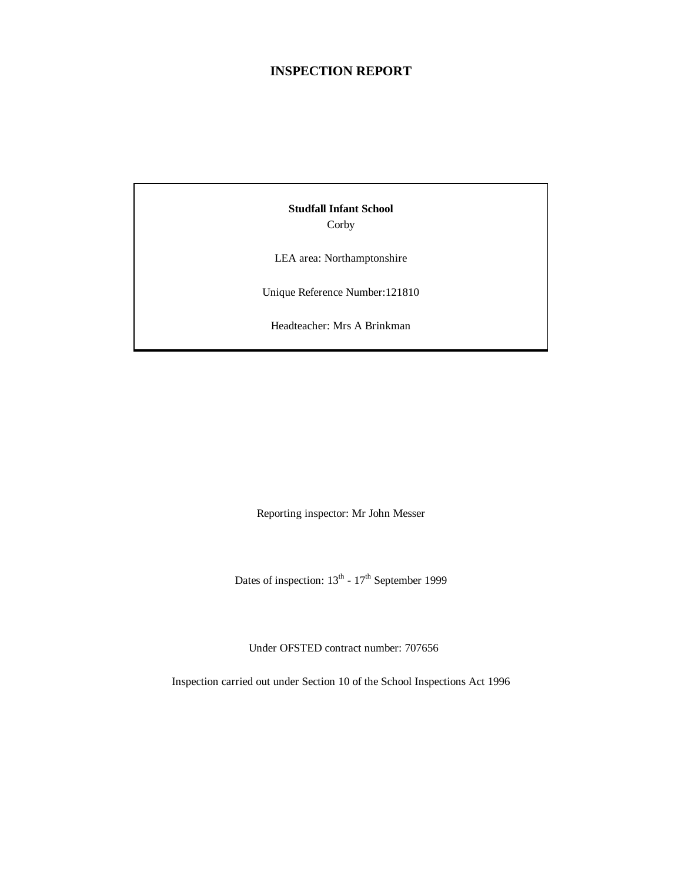## **INSPECTION REPORT**

**Studfall Infant School** Corby

LEA area: Northamptonshire

Unique Reference Number:121810

Headteacher: Mrs A Brinkman

Reporting inspector: Mr John Messer

Dates of inspection:  $13^{th}$  -  $17^{th}$  September 1999

Under OFSTED contract number: 707656

Inspection carried out under Section 10 of the School Inspections Act 1996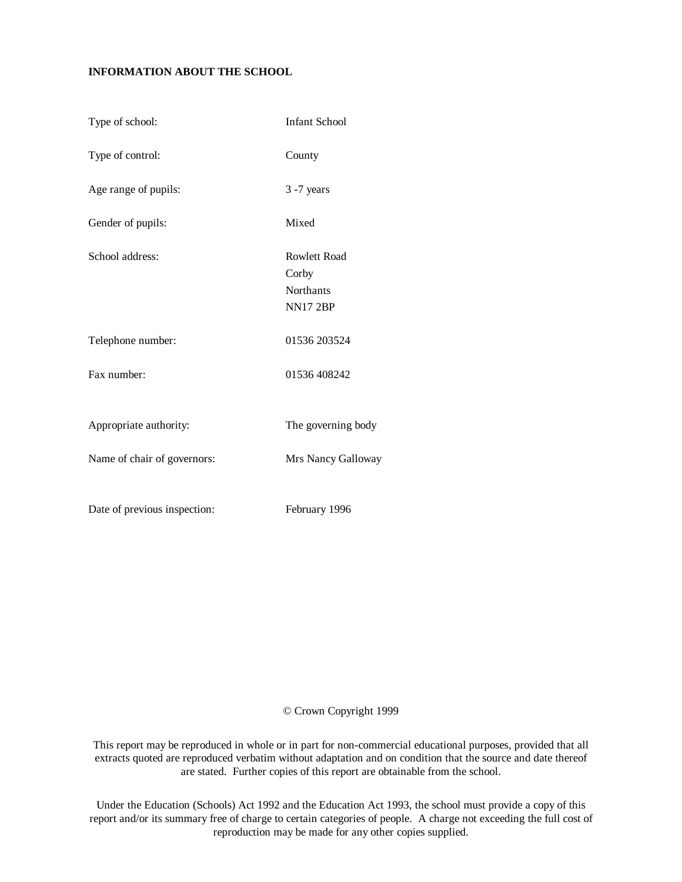### **INFORMATION ABOUT THE SCHOOL**

| Type of school:              | <b>Infant School</b>                                         |
|------------------------------|--------------------------------------------------------------|
| Type of control:             | County                                                       |
| Age range of pupils:         | $3 - 7$ years                                                |
| Gender of pupils:            | Mixed                                                        |
| School address:              | <b>Rowlett Road</b><br>Corby<br>Northants<br><b>NN17 2BP</b> |
| Telephone number:            | 01536 203524                                                 |
| Fax number:                  | 01536 408242                                                 |
| Appropriate authority:       | The governing body                                           |
| Name of chair of governors:  | Mrs Nancy Galloway                                           |
| Date of previous inspection: | February 1996                                                |

### © Crown Copyright 1999

This report may be reproduced in whole or in part for non-commercial educational purposes, provided that all extracts quoted are reproduced verbatim without adaptation and on condition that the source and date thereof are stated. Further copies of this report are obtainable from the school.

Under the Education (Schools) Act 1992 and the Education Act 1993, the school must provide a copy of this report and/or its summary free of charge to certain categories of people. A charge not exceeding the full cost of reproduction may be made for any other copies supplied.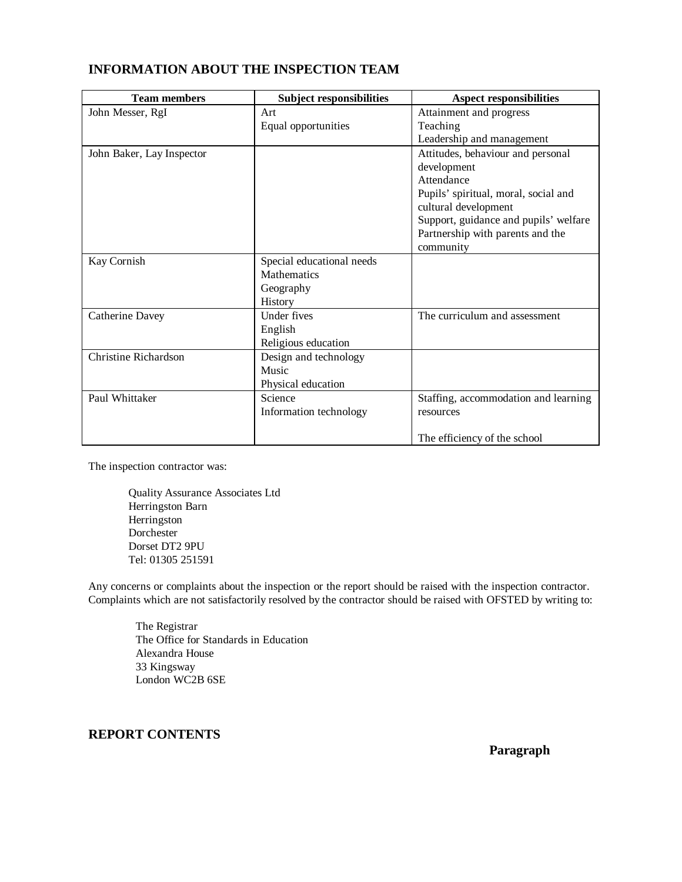| <b>INFORMATION ABOUT THE INSPECTION TEAM</b> |  |  |  |
|----------------------------------------------|--|--|--|
|----------------------------------------------|--|--|--|

| <b>Team members</b>         | <b>Subject responsibilities</b> | <b>Aspect responsibilities</b>        |
|-----------------------------|---------------------------------|---------------------------------------|
| John Messer, RgI            | Art                             | Attainment and progress               |
|                             | Equal opportunities             | Teaching                              |
|                             |                                 | Leadership and management             |
| John Baker, Lay Inspector   |                                 | Attitudes, behaviour and personal     |
|                             |                                 | development                           |
|                             |                                 | Attendance                            |
|                             |                                 | Pupils' spiritual, moral, social and  |
|                             |                                 | cultural development                  |
|                             |                                 | Support, guidance and pupils' welfare |
|                             |                                 | Partnership with parents and the      |
|                             |                                 | community                             |
| Kay Cornish                 | Special educational needs       |                                       |
|                             | <b>Mathematics</b>              |                                       |
|                             | Geography                       |                                       |
|                             | History                         |                                       |
| Catherine Davey             | Under fives                     | The curriculum and assessment         |
|                             | English                         |                                       |
|                             | Religious education             |                                       |
| <b>Christine Richardson</b> | Design and technology           |                                       |
|                             | Music                           |                                       |
|                             | Physical education              |                                       |
| Paul Whittaker              | Science                         | Staffing, accommodation and learning  |
|                             | Information technology          | resources                             |
|                             |                                 |                                       |
|                             |                                 | The efficiency of the school          |

The inspection contractor was:

Quality Assurance Associates Ltd Herringston Barn Herringston Dorchester Dorset DT2 9PU Tel: 01305 251591

Any concerns or complaints about the inspection or the report should be raised with the inspection contractor. Complaints which are not satisfactorily resolved by the contractor should be raised with OFSTED by writing to:

The Registrar The Office for Standards in Education Alexandra House 33 Kingsway London WC2B 6SE

# **REPORT CONTENTS**

**Paragraph**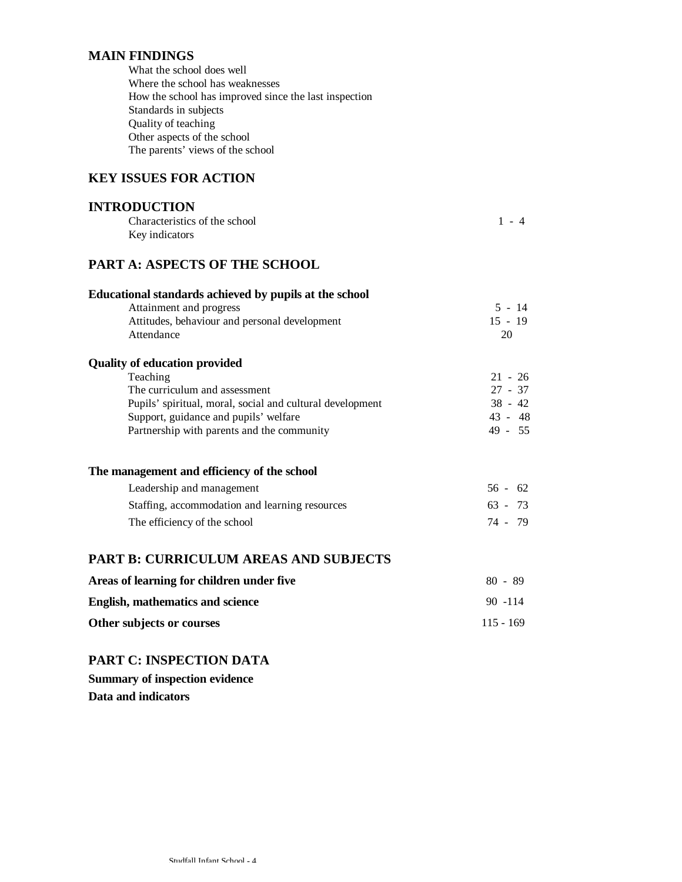# **MAIN FINDINGS**

| What the school does well                             |
|-------------------------------------------------------|
| Where the school has weaknesses                       |
| How the school has improved since the last inspection |
| Standards in subjects                                 |
| Quality of teaching                                   |
| Other aspects of the school                           |
| The parents' views of the school                      |

# **KEY ISSUES FOR ACTION**

## **INTRODUCTION** Characteristics of the school 1 - 4 Key indicators

# **PART A: ASPECTS OF THE SCHOOL**

| Educational standards achieved by pupils at the school    |             |
|-----------------------------------------------------------|-------------|
| Attainment and progress                                   | $5 - 14$    |
| Attitudes, behaviour and personal development             | $15 - 19$   |
| Attendance                                                | 20          |
| <b>Quality of education provided</b>                      |             |
| Teaching                                                  | $21 - 26$   |
| The curriculum and assessment                             | $27 - 37$   |
| Pupils' spiritual, moral, social and cultural development | $38 - 42$   |
| Support, guidance and pupils' welfare                     | 43 - 48     |
| Partnership with parents and the community                | 49 - 55     |
| The management and efficiency of the school               |             |
| Leadership and management                                 | $56 - 62$   |
| Staffing, accommodation and learning resources            | $63 - 73$   |
| The efficiency of the school                              | 74 - 79     |
| <b>PART B: CURRICULUM AREAS AND SUBJECTS</b>              |             |
| Areas of learning for children under five                 | $80 - 89$   |
| English, mathematics and science                          | $90 - 114$  |
| Other subjects or courses                                 | $115 - 169$ |

# **PART C: INSPECTION DATA**

**Summary of inspection evidence Data and indicators**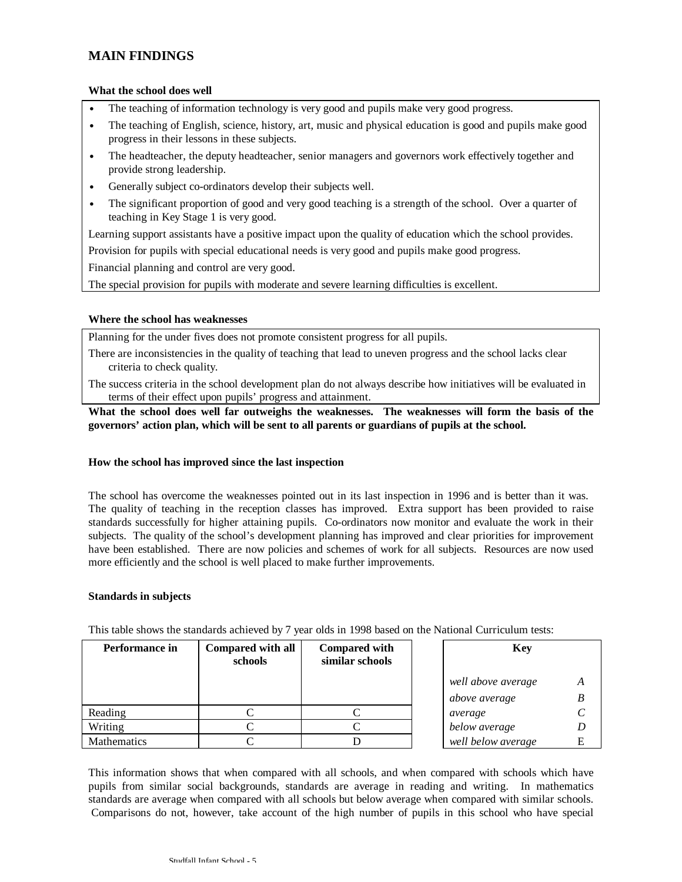## **MAIN FINDINGS**

#### **What the school does well**

- The teaching of information technology is very good and pupils make very good progress.
- The teaching of English, science, history, art, music and physical education is good and pupils make good progress in their lessons in these subjects.
- The headteacher, the deputy headteacher, senior managers and governors work effectively together and provide strong leadership.
- Generally subject co-ordinators develop their subjects well.
- The significant proportion of good and very good teaching is a strength of the school. Over a quarter of teaching in Key Stage 1 is very good.

Learning support assistants have a positive impact upon the quality of education which the school provides.

Provision for pupils with special educational needs is very good and pupils make good progress.

Financial planning and control are very good.

The special provision for pupils with moderate and severe learning difficulties is excellent.

### **Where the school has weaknesses**

Planning for the under fives does not promote consistent progress for all pupils.

- There are inconsistencies in the quality of teaching that lead to uneven progress and the school lacks clear criteria to check quality.
- The success criteria in the school development plan do not always describe how initiatives will be evaluated in terms of their effect upon pupils' progress and attainment.

### **What the school does well far outweighs the weaknesses. The weaknesses will form the basis of the governors' action plan, which will be sent to all parents or guardians of pupils at the school.**

### **How the school has improved since the last inspection**

The school has overcome the weaknesses pointed out in its last inspection in 1996 and is better than it was. The quality of teaching in the reception classes has improved. Extra support has been provided to raise standards successfully for higher attaining pupils. Co-ordinators now monitor and evaluate the work in their subjects. The quality of the school's development planning has improved and clear priorities for improvement have been established. There are now policies and schemes of work for all subjects. Resources are now used more efficiently and the school is well placed to make further improvements.

#### **Standards in subjects**

| <b>Performance in</b> | Compared with all<br>schools | <b>Compared with</b><br>similar schools |  | <b>Key</b>         |   |
|-----------------------|------------------------------|-----------------------------------------|--|--------------------|---|
|                       |                              |                                         |  | well above average | А |
|                       |                              |                                         |  | above average      |   |
| Reading               |                              |                                         |  | average            |   |
| Writing               |                              |                                         |  | below average      |   |
| Mathematics           |                              |                                         |  | well below average | E |

This table shows the standards achieved by 7 year olds in 1998 based on the National Curriculum tests:

This information shows that when compared with all schools, and when compared with schools which have pupils from similar social backgrounds, standards are average in reading and writing. In mathematics standards are average when compared with all schools but below average when compared with similar schools. Comparisons do not, however, take account of the high number of pupils in this school who have special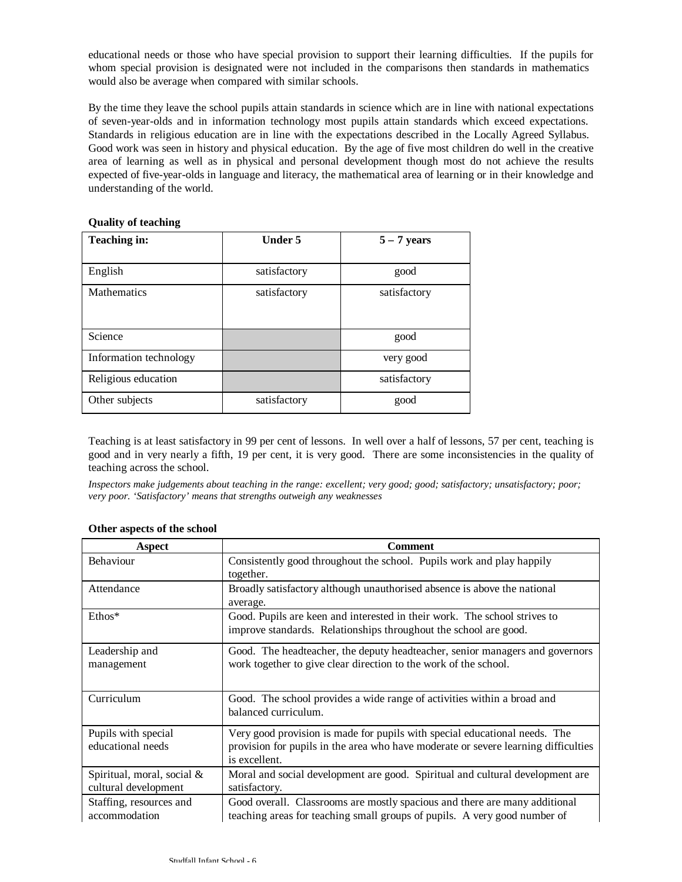educational needs or those who have special provision to support their learning difficulties. If the pupils for whom special provision is designated were not included in the comparisons then standards in mathematics would also be average when compared with similar schools.

By the time they leave the school pupils attain standards in science which are in line with national expectations of seven-year-olds and in information technology most pupils attain standards which exceed expectations. Standards in religious education are in line with the expectations described in the Locally Agreed Syllabus. Good work was seen in history and physical education. By the age of five most children do well in the creative area of learning as well as in physical and personal development though most do not achieve the results expected of five-year-olds in language and literacy, the mathematical area of learning or in their knowledge and understanding of the world.

| <b>Teaching in:</b>    | <b>Under 5</b> | $5 - 7$ years |
|------------------------|----------------|---------------|
|                        |                |               |
| English                | satisfactory   | good          |
| <b>Mathematics</b>     | satisfactory   | satisfactory  |
|                        |                |               |
|                        |                |               |
| Science                |                | good          |
| Information technology |                | very good     |
| Religious education    |                | satisfactory  |
| Other subjects         | satisfactory   | good          |

### **Quality of teaching**

Teaching is at least satisfactory in 99 per cent of lessons. In well over a half of lessons, 57 per cent, teaching is good and in very nearly a fifth, 19 per cent, it is very good. There are some inconsistencies in the quality of teaching across the school.

*Inspectors make judgements about teaching in the range: excellent; very good; good; satisfactory; unsatisfactory; poor; very poor. 'Satisfactory' means that strengths outweigh any weaknesses*

| Aspect                     | <b>Comment</b>                                                                       |
|----------------------------|--------------------------------------------------------------------------------------|
| Behaviour                  | Consistently good throughout the school. Pupils work and play happily                |
|                            | together.                                                                            |
| Attendance                 | Broadly satisfactory although unauthorised absence is above the national<br>average. |
| $Ethos*$                   | Good. Pupils are keen and interested in their work. The school strives to            |
|                            | improve standards. Relationships throughout the school are good.                     |
| Leadership and             | Good. The headteacher, the deputy headteacher, senior managers and governors         |
| management                 | work together to give clear direction to the work of the school.                     |
|                            |                                                                                      |
| Curriculum                 | Good. The school provides a wide range of activities within a broad and              |
|                            | balanced curriculum.                                                                 |
| Pupils with special        | Very good provision is made for pupils with special educational needs. The           |
| educational needs          | provision for pupils in the area who have moderate or severe learning difficulties   |
|                            | is excellent.                                                                        |
| Spiritual, moral, social & | Moral and social development are good. Spiritual and cultural development are        |
| cultural development       | satisfactory.                                                                        |
| Staffing, resources and    | Good overall. Classrooms are mostly spacious and there are many additional           |
| accommodation              | teaching areas for teaching small groups of pupils. A very good number of            |

#### **Other aspects of the school**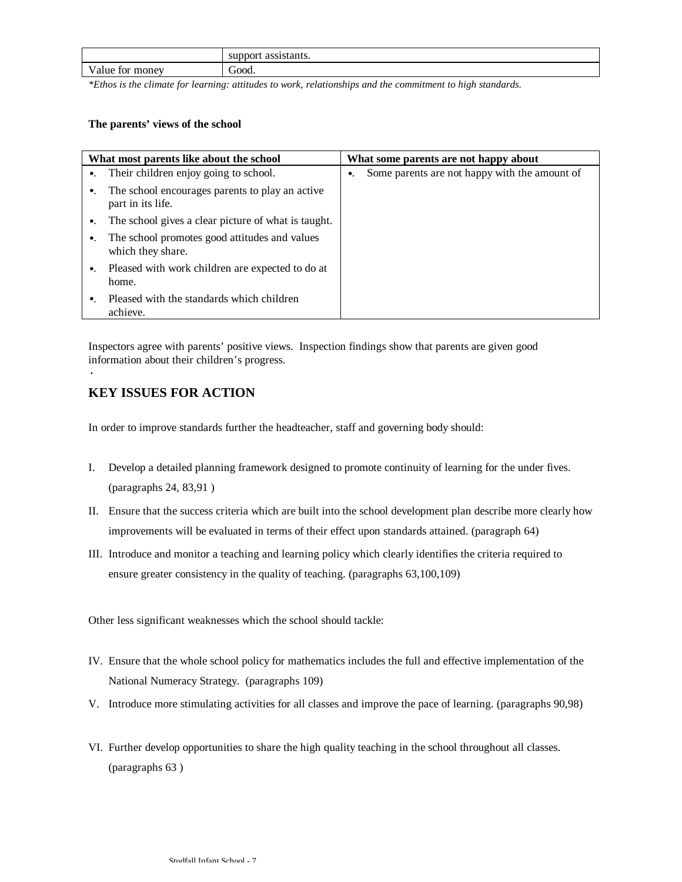|                                    | support<br>.occactomta<br>мань.<br>юu |
|------------------------------------|---------------------------------------|
| $\mathbf{V}$<br>money<br>TOP<br>ue | .jood                                 |

*\*Ethos is the climate for learning: attitudes to work, relationships and the commitment to high standards.*

### **The parents' views of the school**

|             | What most parents like about the school                              | What some parents are not happy about                        |
|-------------|----------------------------------------------------------------------|--------------------------------------------------------------|
|             | •. Their children enjoy going to school.                             | Some parents are not happy with the amount of<br>$\bullet$ . |
| $\bullet$ . | The school encourages parents to play an active<br>part in its life. |                                                              |
| $\bullet$ . | The school gives a clear picture of what is taught.                  |                                                              |
| $\bullet$ . | The school promotes good attitudes and values<br>which they share.   |                                                              |
|             | •. Pleased with work children are expected to do at<br>home.         |                                                              |
|             | Pleased with the standards which children<br>achieve.                |                                                              |

Inspectors agree with parents' positive views. Inspection findings show that parents are given good information about their children's progress.

# **KEY ISSUES FOR ACTION**

·

In order to improve standards further the headteacher, staff and governing body should:

- I. Develop a detailed planning framework designed to promote continuity of learning for the under fives. (paragraphs 24, 83,91 )
- II. Ensure that the success criteria which are built into the school development plan describe more clearly how improvements will be evaluated in terms of their effect upon standards attained. (paragraph 64)
- III. Introduce and monitor a teaching and learning policy which clearly identifies the criteria required to ensure greater consistency in the quality of teaching. (paragraphs 63,100,109)

Other less significant weaknesses which the school should tackle:

- IV. Ensure that the whole school policy for mathematics includes the full and effective implementation of the National Numeracy Strategy. (paragraphs 109)
- V. Introduce more stimulating activities for all classes and improve the pace of learning. (paragraphs 90,98)
- VI. Further develop opportunities to share the high quality teaching in the school throughout all classes. (paragraphs 63 )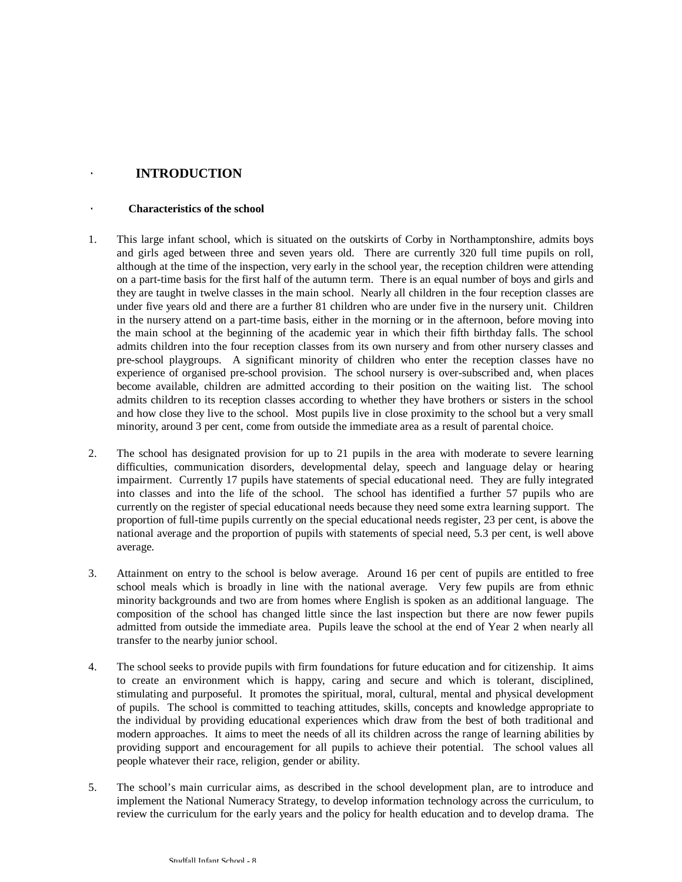## · **INTRODUCTION**

### · **Characteristics of the school**

- 1. This large infant school, which is situated on the outskirts of Corby in Northamptonshire, admits boys and girls aged between three and seven years old. There are currently 320 full time pupils on roll, although at the time of the inspection, very early in the school year, the reception children were attending on a part-time basis for the first half of the autumn term. There is an equal number of boys and girls and they are taught in twelve classes in the main school. Nearly all children in the four reception classes are under five years old and there are a further 81 children who are under five in the nursery unit. Children in the nursery attend on a part-time basis, either in the morning or in the afternoon, before moving into the main school at the beginning of the academic year in which their fifth birthday falls. The school admits children into the four reception classes from its own nursery and from other nursery classes and pre-school playgroups. A significant minority of children who enter the reception classes have no experience of organised pre-school provision. The school nursery is over-subscribed and, when places become available, children are admitted according to their position on the waiting list. The school admits children to its reception classes according to whether they have brothers or sisters in the school and how close they live to the school. Most pupils live in close proximity to the school but a very small minority, around 3 per cent, come from outside the immediate area as a result of parental choice.
- 2. The school has designated provision for up to 21 pupils in the area with moderate to severe learning difficulties, communication disorders, developmental delay, speech and language delay or hearing impairment. Currently 17 pupils have statements of special educational need. They are fully integrated into classes and into the life of the school. The school has identified a further 57 pupils who are currently on the register of special educational needs because they need some extra learning support. The proportion of full-time pupils currently on the special educational needs register, 23 per cent, is above the national average and the proportion of pupils with statements of special need, 5.3 per cent, is well above average.
- 3. Attainment on entry to the school is below average. Around 16 per cent of pupils are entitled to free school meals which is broadly in line with the national average. Very few pupils are from ethnic minority backgrounds and two are from homes where English is spoken as an additional language. The composition of the school has changed little since the last inspection but there are now fewer pupils admitted from outside the immediate area. Pupils leave the school at the end of Year 2 when nearly all transfer to the nearby junior school.
- 4. The school seeks to provide pupils with firm foundations for future education and for citizenship. It aims to create an environment which is happy, caring and secure and which is tolerant, disciplined, stimulating and purposeful. It promotes the spiritual, moral, cultural, mental and physical development of pupils. The school is committed to teaching attitudes, skills, concepts and knowledge appropriate to the individual by providing educational experiences which draw from the best of both traditional and modern approaches. It aims to meet the needs of all its children across the range of learning abilities by providing support and encouragement for all pupils to achieve their potential. The school values all people whatever their race, religion, gender or ability.
- 5. The school's main curricular aims, as described in the school development plan, are to introduce and implement the National Numeracy Strategy, to develop information technology across the curriculum, to review the curriculum for the early years and the policy for health education and to develop drama. The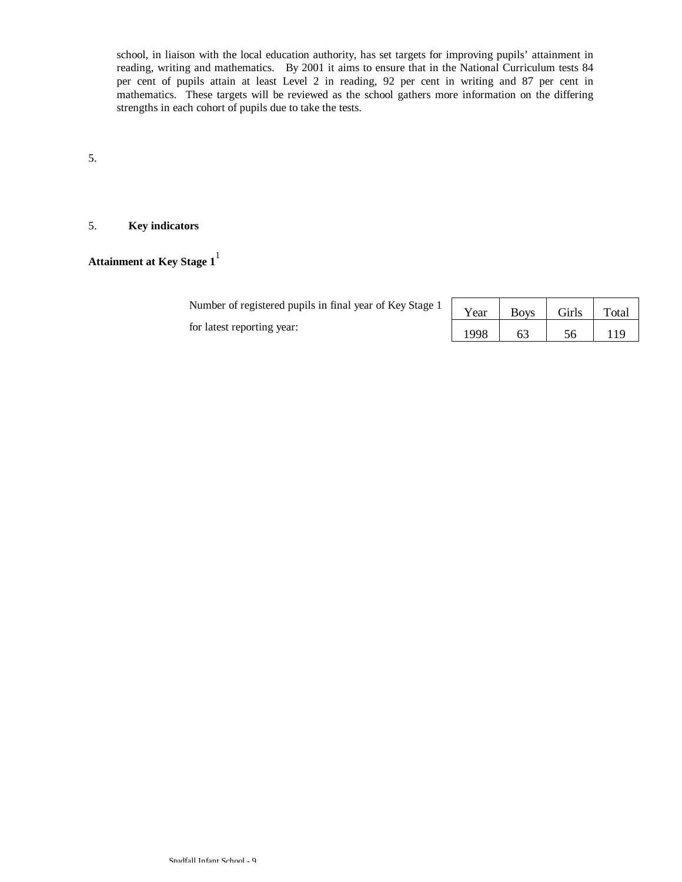school, in liaison with the local education authority, has set targets for improving pupils' attainment in reading, writing and mathematics. By 2001 it aims to ensure that in the National Curriculum tests 84 per cent of pupils attain at least Level 2 in reading, 92 per cent in writing and 87 per cent in mathematics. These targets will be reviewed as the school gathers more information on the differing strengths in each cohort of pupils due to take the tests.

5.

### 5. **Key indicators**

**Attainment at Key Stage 1**<sup>1</sup>

| A sumber of registered pupils in final year of Key Stage 1   Year   Boys   Girls $\vert$ |      |    |    | Total |
|------------------------------------------------------------------------------------------|------|----|----|-------|
| for latest reporting year:                                                               | 1998 | 63 | 56 |       |

| Year | <b>Boys</b> | Girls | Total |
|------|-------------|-------|-------|
| 1998 |             | 56    | -19   |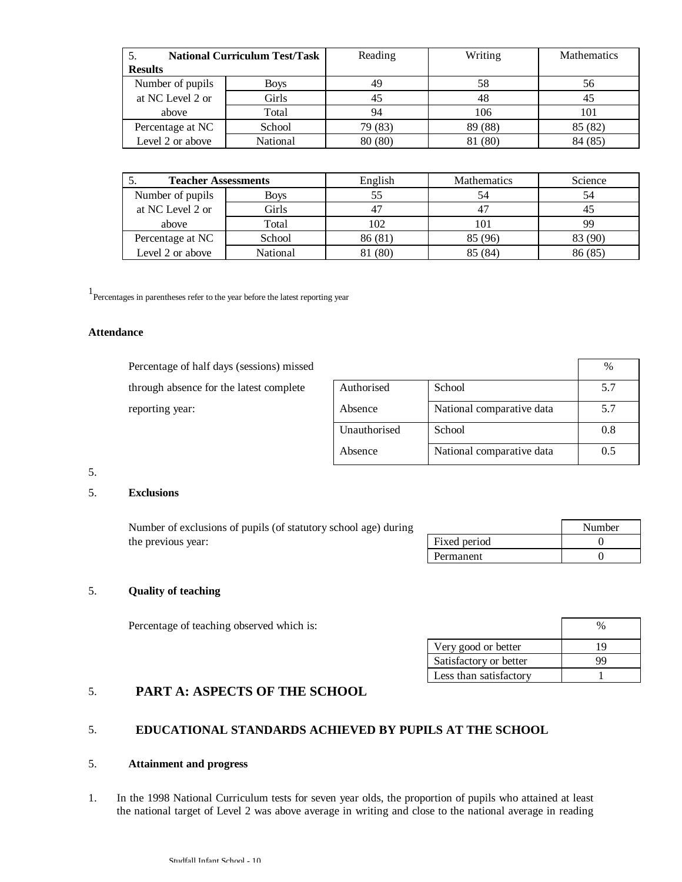| <b>National Curriculum Test/Task</b> |             | Reading | Writing | <b>Mathematics</b> |
|--------------------------------------|-------------|---------|---------|--------------------|
| <b>Results</b>                       |             |         |         |                    |
| Number of pupils                     | <b>Boys</b> | 49      | 58      | 56                 |
| at NC Level 2 or                     | Girls       | 45      | 48      | 45                 |
| above                                | Total       | 94      | 106     | 101                |
| Percentage at NC                     | School      | 79 (83) | 89 (88) | 85 (82)            |
| Level 2 or above                     | National    | 80 (80) | 81 (80) | 84 (85)            |

| <b>Teacher Assessments</b> |             | English | <b>Mathematics</b> | Science |
|----------------------------|-------------|---------|--------------------|---------|
| Number of pupils           | <b>Boys</b> |         | 54                 | 54      |
| at NC Level 2 or           | Girls       |         | 47                 |         |
| above                      | Total       | 102     | 101                | 99      |
| Percentage at NC           | School      | 86 (81) | 85 (96)            | 83 (90) |
| Level 2 or above           | National    | (80)    | 85 (84)            | 86 (85) |

1 Percentages in parentheses refer to the year before the latest reporting year

#### **Attendance**

Percentage of half days (sessions) missed through absence for the latest complete reporting year:

|              |                           | $\%$ |
|--------------|---------------------------|------|
| Authorised   | School                    | 5.7  |
| Absence      | National comparative data | 5.7  |
| Unauthorised | School                    | 0.8  |
| Absence      | National comparative data | 0.5  |

## 5.

### 5. **Exclusions**

Number of exclusions of pupils (of statutory school age) during Number the previous year:  $\boxed{\qquad \qquad}$  Fixed period 0 Permanent 0

#### 5. **Quality of teaching**

Percentage of teaching observed which is:  $\frac{1}{2}$  %

| Very good or better    | 19 |
|------------------------|----|
| Satisfactory or better | 99 |
| Less than satisfactory |    |

## 5. **PART A: ASPECTS OF THE SCHOOL**

### 5. **EDUCATIONAL STANDARDS ACHIEVED BY PUPILS AT THE SCHOOL**

#### 5. **Attainment and progress**

1. In the 1998 National Curriculum tests for seven year olds, the proportion of pupils who attained at least the national target of Level 2 was above average in writing and close to the national average in reading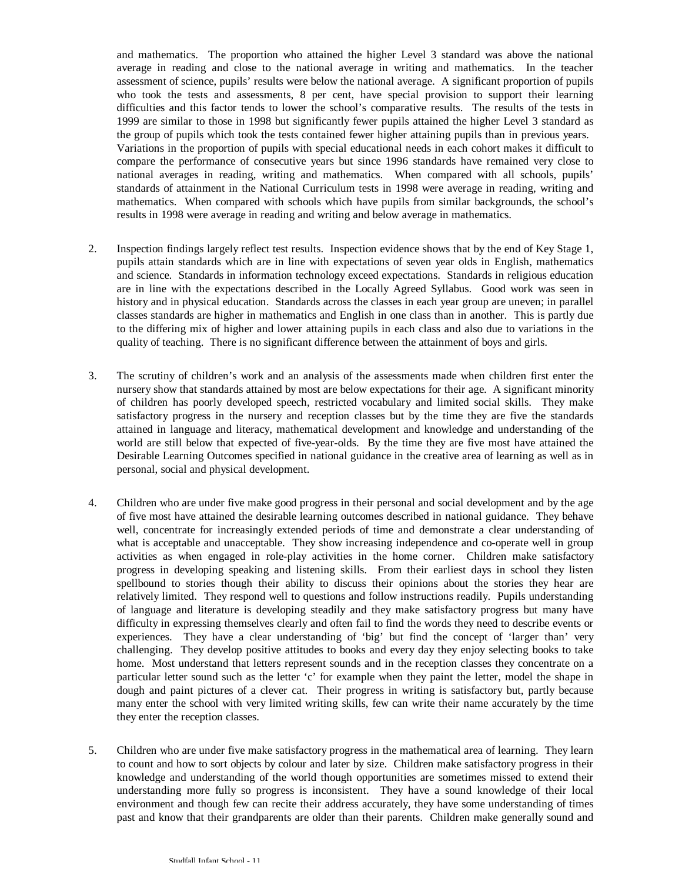and mathematics. The proportion who attained the higher Level 3 standard was above the national average in reading and close to the national average in writing and mathematics. In the teacher assessment of science, pupils' results were below the national average. A significant proportion of pupils who took the tests and assessments, 8 per cent, have special provision to support their learning difficulties and this factor tends to lower the school's comparative results. The results of the tests in 1999 are similar to those in 1998 but significantly fewer pupils attained the higher Level 3 standard as the group of pupils which took the tests contained fewer higher attaining pupils than in previous years. Variations in the proportion of pupils with special educational needs in each cohort makes it difficult to compare the performance of consecutive years but since 1996 standards have remained very close to national averages in reading, writing and mathematics. When compared with all schools, pupils' standards of attainment in the National Curriculum tests in 1998 were average in reading, writing and mathematics. When compared with schools which have pupils from similar backgrounds, the school's results in 1998 were average in reading and writing and below average in mathematics.

- 2. Inspection findings largely reflect test results. Inspection evidence shows that by the end of Key Stage 1, pupils attain standards which are in line with expectations of seven year olds in English, mathematics and science. Standards in information technology exceed expectations. Standards in religious education are in line with the expectations described in the Locally Agreed Syllabus. Good work was seen in history and in physical education. Standards across the classes in each year group are uneven; in parallel classes standards are higher in mathematics and English in one class than in another. This is partly due to the differing mix of higher and lower attaining pupils in each class and also due to variations in the quality of teaching. There is no significant difference between the attainment of boys and girls.
- 3. The scrutiny of children's work and an analysis of the assessments made when children first enter the nursery show that standards attained by most are below expectations for their age. A significant minority of children has poorly developed speech, restricted vocabulary and limited social skills. They make satisfactory progress in the nursery and reception classes but by the time they are five the standards attained in language and literacy, mathematical development and knowledge and understanding of the world are still below that expected of five-year-olds. By the time they are five most have attained the Desirable Learning Outcomes specified in national guidance in the creative area of learning as well as in personal, social and physical development.
- 4. Children who are under five make good progress in their personal and social development and by the age of five most have attained the desirable learning outcomes described in national guidance. They behave well, concentrate for increasingly extended periods of time and demonstrate a clear understanding of what is acceptable and unacceptable. They show increasing independence and co-operate well in group activities as when engaged in role-play activities in the home corner. Children make satisfactory progress in developing speaking and listening skills. From their earliest days in school they listen spellbound to stories though their ability to discuss their opinions about the stories they hear are relatively limited. They respond well to questions and follow instructions readily. Pupils understanding of language and literature is developing steadily and they make satisfactory progress but many have difficulty in expressing themselves clearly and often fail to find the words they need to describe events or experiences. They have a clear understanding of 'big' but find the concept of 'larger than' very challenging. They develop positive attitudes to books and every day they enjoy selecting books to take home. Most understand that letters represent sounds and in the reception classes they concentrate on a particular letter sound such as the letter 'c' for example when they paint the letter, model the shape in dough and paint pictures of a clever cat. Their progress in writing is satisfactory but, partly because many enter the school with very limited writing skills, few can write their name accurately by the time they enter the reception classes.
- 5. Children who are under five make satisfactory progress in the mathematical area of learning. They learn to count and how to sort objects by colour and later by size. Children make satisfactory progress in their knowledge and understanding of the world though opportunities are sometimes missed to extend their understanding more fully so progress is inconsistent. They have a sound knowledge of their local environment and though few can recite their address accurately, they have some understanding of times past and know that their grandparents are older than their parents. Children make generally sound and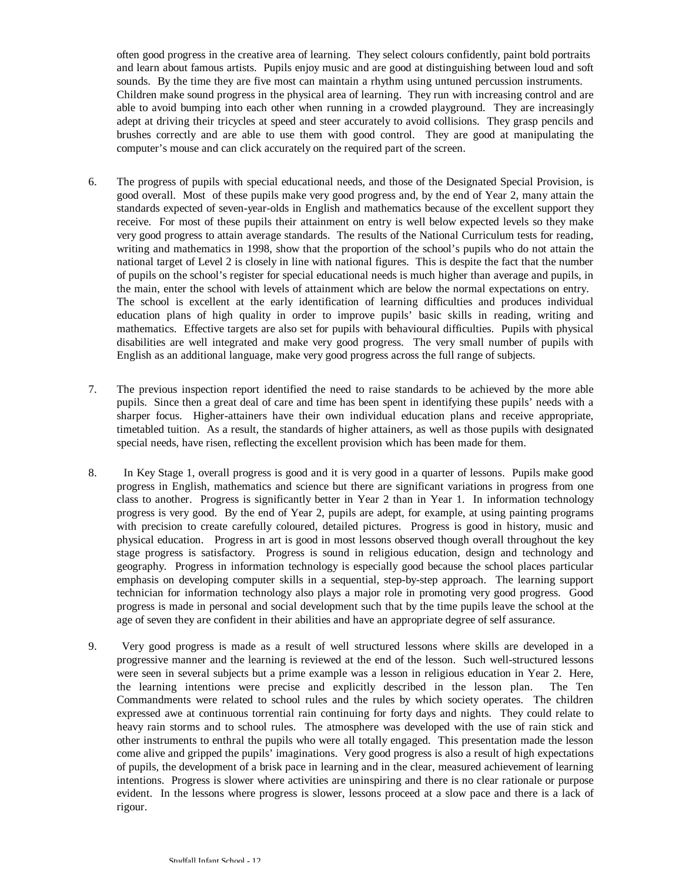often good progress in the creative area of learning. They select colours confidently, paint bold portraits and learn about famous artists. Pupils enjoy music and are good at distinguishing between loud and soft sounds. By the time they are five most can maintain a rhythm using untuned percussion instruments. Children make sound progress in the physical area of learning. They run with increasing control and are able to avoid bumping into each other when running in a crowded playground. They are increasingly adept at driving their tricycles at speed and steer accurately to avoid collisions. They grasp pencils and brushes correctly and are able to use them with good control. They are good at manipulating the computer's mouse and can click accurately on the required part of the screen.

- 6. The progress of pupils with special educational needs, and those of the Designated Special Provision, is good overall. Most of these pupils make very good progress and, by the end of Year 2, many attain the standards expected of seven-year-olds in English and mathematics because of the excellent support they receive. For most of these pupils their attainment on entry is well below expected levels so they make very good progress to attain average standards. The results of the National Curriculum tests for reading, writing and mathematics in 1998, show that the proportion of the school's pupils who do not attain the national target of Level 2 is closely in line with national figures. This is despite the fact that the number of pupils on the school's register for special educational needs is much higher than average and pupils, in the main, enter the school with levels of attainment which are below the normal expectations on entry. The school is excellent at the early identification of learning difficulties and produces individual education plans of high quality in order to improve pupils' basic skills in reading, writing and mathematics. Effective targets are also set for pupils with behavioural difficulties. Pupils with physical disabilities are well integrated and make very good progress. The very small number of pupils with English as an additional language, make very good progress across the full range of subjects.
- 7. The previous inspection report identified the need to raise standards to be achieved by the more able pupils. Since then a great deal of care and time has been spent in identifying these pupils' needs with a sharper focus. Higher-attainers have their own individual education plans and receive appropriate, timetabled tuition. As a result, the standards of higher attainers, as well as those pupils with designated special needs, have risen, reflecting the excellent provision which has been made for them.
- 8. In Key Stage 1, overall progress is good and it is very good in a quarter of lessons. Pupils make good progress in English, mathematics and science but there are significant variations in progress from one class to another. Progress is significantly better in Year 2 than in Year 1. In information technology progress is very good. By the end of Year 2, pupils are adept, for example, at using painting programs with precision to create carefully coloured, detailed pictures. Progress is good in history, music and physical education. Progress in art is good in most lessons observed though overall throughout the key stage progress is satisfactory. Progress is sound in religious education, design and technology and geography. Progress in information technology is especially good because the school places particular emphasis on developing computer skills in a sequential, step-by-step approach. The learning support technician for information technology also plays a major role in promoting very good progress. Good progress is made in personal and social development such that by the time pupils leave the school at the age of seven they are confident in their abilities and have an appropriate degree of self assurance.
- 9. Very good progress is made as a result of well structured lessons where skills are developed in a progressive manner and the learning is reviewed at the end of the lesson. Such well-structured lessons were seen in several subjects but a prime example was a lesson in religious education in Year 2. Here, the learning intentions were precise and explicitly described in the lesson plan. The Ten Commandments were related to school rules and the rules by which society operates. The children expressed awe at continuous torrential rain continuing for forty days and nights. They could relate to heavy rain storms and to school rules. The atmosphere was developed with the use of rain stick and other instruments to enthral the pupils who were all totally engaged. This presentation made the lesson come alive and gripped the pupils' imaginations. Very good progress is also a result of high expectations of pupils, the development of a brisk pace in learning and in the clear, measured achievement of learning intentions. Progress is slower where activities are uninspiring and there is no clear rationale or purpose evident. In the lessons where progress is slower, lessons proceed at a slow pace and there is a lack of rigour.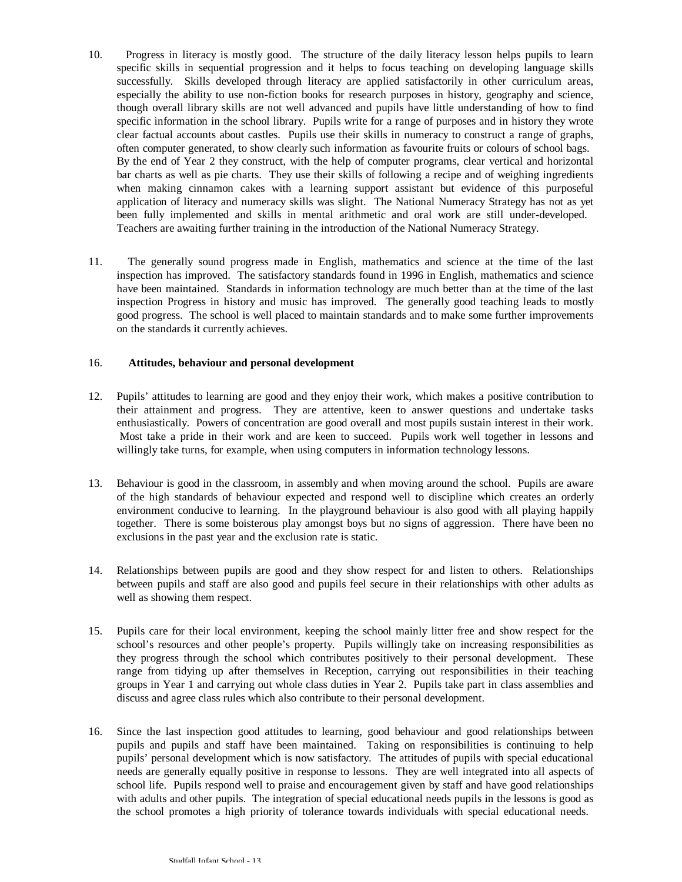- 10. Progress in literacy is mostly good. The structure of the daily literacy lesson helps pupils to learn specific skills in sequential progression and it helps to focus teaching on developing language skills successfully. Skills developed through literacy are applied satisfactorily in other curriculum areas, especially the ability to use non-fiction books for research purposes in history, geography and science, though overall library skills are not well advanced and pupils have little understanding of how to find specific information in the school library. Pupils write for a range of purposes and in history they wrote clear factual accounts about castles. Pupils use their skills in numeracy to construct a range of graphs, often computer generated, to show clearly such information as favourite fruits or colours of school bags. By the end of Year 2 they construct, with the help of computer programs, clear vertical and horizontal bar charts as well as pie charts. They use their skills of following a recipe and of weighing ingredients when making cinnamon cakes with a learning support assistant but evidence of this purposeful application of literacy and numeracy skills was slight. The National Numeracy Strategy has not as yet been fully implemented and skills in mental arithmetic and oral work are still under-developed. Teachers are awaiting further training in the introduction of the National Numeracy Strategy.
- 11. The generally sound progress made in English, mathematics and science at the time of the last inspection has improved. The satisfactory standards found in 1996 in English, mathematics and science have been maintained. Standards in information technology are much better than at the time of the last inspection Progress in history and music has improved. The generally good teaching leads to mostly good progress. The school is well placed to maintain standards and to make some further improvements on the standards it currently achieves.

### 16. **Attitudes, behaviour and personal development**

- 12. Pupils' attitudes to learning are good and they enjoy their work, which makes a positive contribution to their attainment and progress. They are attentive, keen to answer questions and undertake tasks enthusiastically. Powers of concentration are good overall and most pupils sustain interest in their work. Most take a pride in their work and are keen to succeed. Pupils work well together in lessons and willingly take turns, for example, when using computers in information technology lessons.
- 13. Behaviour is good in the classroom, in assembly and when moving around the school. Pupils are aware of the high standards of behaviour expected and respond well to discipline which creates an orderly environment conducive to learning. In the playground behaviour is also good with all playing happily together. There is some boisterous play amongst boys but no signs of aggression. There have been no exclusions in the past year and the exclusion rate is static.
- 14. Relationships between pupils are good and they show respect for and listen to others. Relationships between pupils and staff are also good and pupils feel secure in their relationships with other adults as well as showing them respect.
- 15. Pupils care for their local environment, keeping the school mainly litter free and show respect for the school's resources and other people's property. Pupils willingly take on increasing responsibilities as they progress through the school which contributes positively to their personal development. These range from tidying up after themselves in Reception, carrying out responsibilities in their teaching groups in Year 1 and carrying out whole class duties in Year 2. Pupils take part in class assemblies and discuss and agree class rules which also contribute to their personal development.
- 16. Since the last inspection good attitudes to learning, good behaviour and good relationships between pupils and pupils and staff have been maintained. Taking on responsibilities is continuing to help pupils' personal development which is now satisfactory. The attitudes of pupils with special educational needs are generally equally positive in response to lessons. They are well integrated into all aspects of school life. Pupils respond well to praise and encouragement given by staff and have good relationships with adults and other pupils. The integration of special educational needs pupils in the lessons is good as the school promotes a high priority of tolerance towards individuals with special educational needs.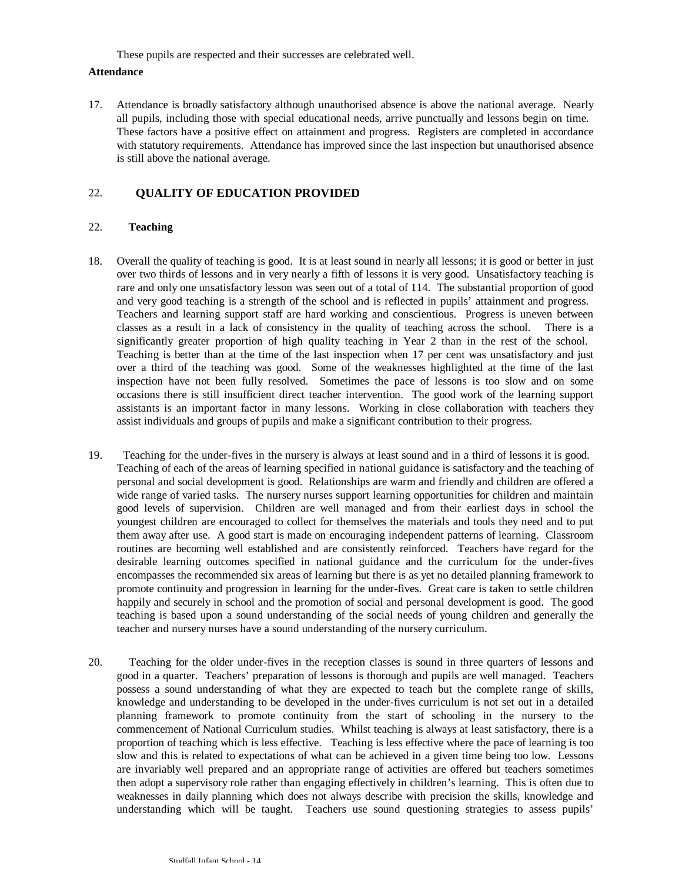These pupils are respected and their successes are celebrated well.

#### **Attendance**

17. Attendance is broadly satisfactory although unauthorised absence is above the national average. Nearly all pupils, including those with special educational needs, arrive punctually and lessons begin on time. These factors have a positive effect on attainment and progress. Registers are completed in accordance with statutory requirements. Attendance has improved since the last inspection but unauthorised absence is still above the national average.

## 22. **QUALITY OF EDUCATION PROVIDED**

### 22. **Teaching**

- 18. Overall the quality of teaching is good. It is at least sound in nearly all lessons; it is good or better in just over two thirds of lessons and in very nearly a fifth of lessons it is very good. Unsatisfactory teaching is rare and only one unsatisfactory lesson was seen out of a total of 114. The substantial proportion of good and very good teaching is a strength of the school and is reflected in pupils' attainment and progress. Teachers and learning support staff are hard working and conscientious. Progress is uneven between classes as a result in a lack of consistency in the quality of teaching across the school. There is a significantly greater proportion of high quality teaching in Year 2 than in the rest of the school. Teaching is better than at the time of the last inspection when 17 per cent was unsatisfactory and just over a third of the teaching was good. Some of the weaknesses highlighted at the time of the last inspection have not been fully resolved. Sometimes the pace of lessons is too slow and on some occasions there is still insufficient direct teacher intervention. The good work of the learning support assistants is an important factor in many lessons. Working in close collaboration with teachers they assist individuals and groups of pupils and make a significant contribution to their progress.
- 19. Teaching for the under-fives in the nursery is always at least sound and in a third of lessons it is good. Teaching of each of the areas of learning specified in national guidance is satisfactory and the teaching of personal and social development is good. Relationships are warm and friendly and children are offered a wide range of varied tasks. The nursery nurses support learning opportunities for children and maintain good levels of supervision. Children are well managed and from their earliest days in school the youngest children are encouraged to collect for themselves the materials and tools they need and to put them away after use. A good start is made on encouraging independent patterns of learning. Classroom routines are becoming well established and are consistently reinforced. Teachers have regard for the desirable learning outcomes specified in national guidance and the curriculum for the under-fives encompasses the recommended six areas of learning but there is as yet no detailed planning framework to promote continuity and progression in learning for the under-fives. Great care is taken to settle children happily and securely in school and the promotion of social and personal development is good. The good teaching is based upon a sound understanding of the social needs of young children and generally the teacher and nursery nurses have a sound understanding of the nursery curriculum.
- 20. Teaching for the older under-fives in the reception classes is sound in three quarters of lessons and good in a quarter. Teachers' preparation of lessons is thorough and pupils are well managed. Teachers possess a sound understanding of what they are expected to teach but the complete range of skills, knowledge and understanding to be developed in the under-fives curriculum is not set out in a detailed planning framework to promote continuity from the start of schooling in the nursery to the commencement of National Curriculum studies. Whilst teaching is always at least satisfactory, there is a proportion of teaching which is less effective. Teaching is less effective where the pace of learning is too slow and this is related to expectations of what can be achieved in a given time being too low. Lessons are invariably well prepared and an appropriate range of activities are offered but teachers sometimes then adopt a supervisory role rather than engaging effectively in children's learning. This is often due to weaknesses in daily planning which does not always describe with precision the skills, knowledge and understanding which will be taught. Teachers use sound questioning strategies to assess pupils'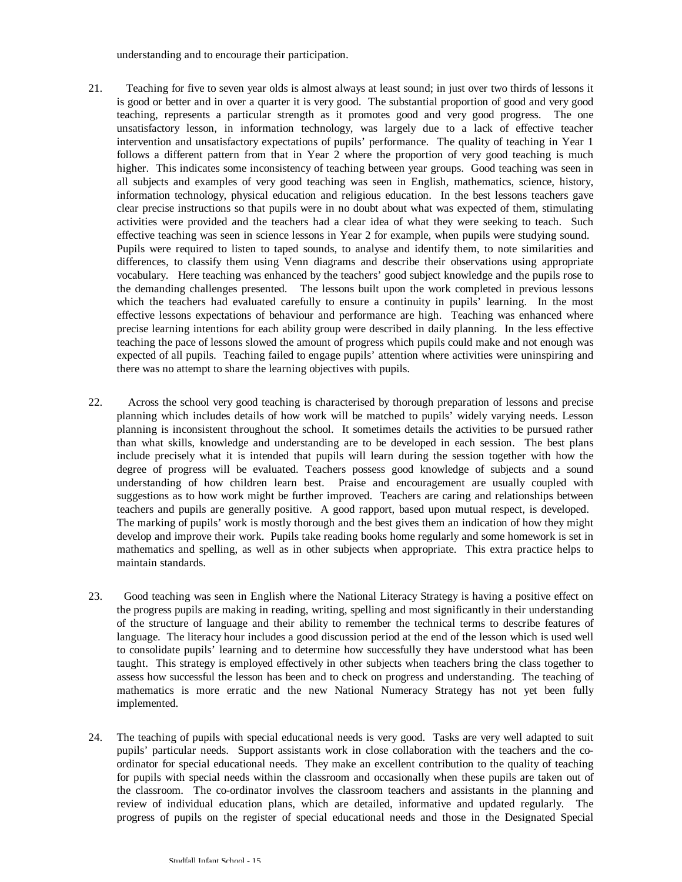understanding and to encourage their participation.

- 21. Teaching for five to seven year olds is almost always at least sound; in just over two thirds of lessons it is good or better and in over a quarter it is very good. The substantial proportion of good and very good teaching, represents a particular strength as it promotes good and very good progress. The one unsatisfactory lesson, in information technology, was largely due to a lack of effective teacher intervention and unsatisfactory expectations of pupils' performance. The quality of teaching in Year 1 follows a different pattern from that in Year 2 where the proportion of very good teaching is much higher. This indicates some inconsistency of teaching between year groups. Good teaching was seen in all subjects and examples of very good teaching was seen in English, mathematics, science, history, information technology, physical education and religious education. In the best lessons teachers gave clear precise instructions so that pupils were in no doubt about what was expected of them, stimulating activities were provided and the teachers had a clear idea of what they were seeking to teach. Such effective teaching was seen in science lessons in Year 2 for example, when pupils were studying sound. Pupils were required to listen to taped sounds, to analyse and identify them, to note similarities and differences, to classify them using Venn diagrams and describe their observations using appropriate vocabulary. Here teaching was enhanced by the teachers' good subject knowledge and the pupils rose to the demanding challenges presented. The lessons built upon the work completed in previous lessons which the teachers had evaluated carefully to ensure a continuity in pupils' learning. In the most effective lessons expectations of behaviour and performance are high. Teaching was enhanced where precise learning intentions for each ability group were described in daily planning. In the less effective teaching the pace of lessons slowed the amount of progress which pupils could make and not enough was expected of all pupils. Teaching failed to engage pupils' attention where activities were uninspiring and there was no attempt to share the learning objectives with pupils.
- 22. Across the school very good teaching is characterised by thorough preparation of lessons and precise planning which includes details of how work will be matched to pupils' widely varying needs. Lesson planning is inconsistent throughout the school. It sometimes details the activities to be pursued rather than what skills, knowledge and understanding are to be developed in each session. The best plans include precisely what it is intended that pupils will learn during the session together with how the degree of progress will be evaluated. Teachers possess good knowledge of subjects and a sound understanding of how children learn best. Praise and encouragement are usually coupled with suggestions as to how work might be further improved. Teachers are caring and relationships between teachers and pupils are generally positive. A good rapport, based upon mutual respect, is developed. The marking of pupils' work is mostly thorough and the best gives them an indication of how they might develop and improve their work. Pupils take reading books home regularly and some homework is set in mathematics and spelling, as well as in other subjects when appropriate. This extra practice helps to maintain standards.
- 23. Good teaching was seen in English where the National Literacy Strategy is having a positive effect on the progress pupils are making in reading, writing, spelling and most significantly in their understanding of the structure of language and their ability to remember the technical terms to describe features of language. The literacy hour includes a good discussion period at the end of the lesson which is used well to consolidate pupils' learning and to determine how successfully they have understood what has been taught. This strategy is employed effectively in other subjects when teachers bring the class together to assess how successful the lesson has been and to check on progress and understanding. The teaching of mathematics is more erratic and the new National Numeracy Strategy has not yet been fully implemented.
- 24. The teaching of pupils with special educational needs is very good. Tasks are very well adapted to suit pupils' particular needs. Support assistants work in close collaboration with the teachers and the coordinator for special educational needs. They make an excellent contribution to the quality of teaching for pupils with special needs within the classroom and occasionally when these pupils are taken out of the classroom. The co-ordinator involves the classroom teachers and assistants in the planning and review of individual education plans, which are detailed, informative and updated regularly. The progress of pupils on the register of special educational needs and those in the Designated Special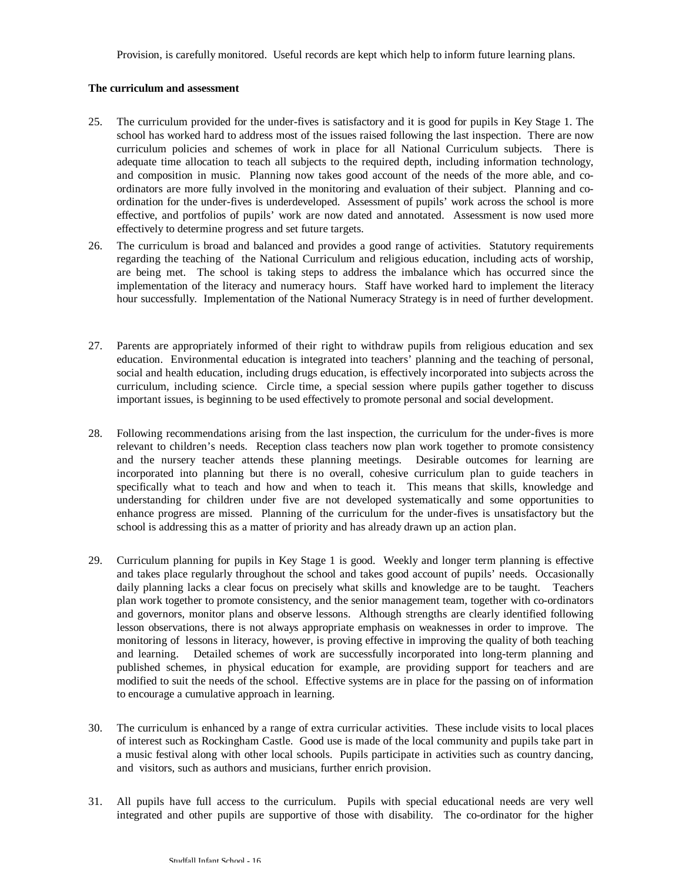Provision, is carefully monitored. Useful records are kept which help to inform future learning plans.

### **The curriculum and assessment**

- 25. The curriculum provided for the under-fives is satisfactory and it is good for pupils in Key Stage 1. The school has worked hard to address most of the issues raised following the last inspection. There are now curriculum policies and schemes of work in place for all National Curriculum subjects. There is adequate time allocation to teach all subjects to the required depth, including information technology, and composition in music. Planning now takes good account of the needs of the more able, and coordinators are more fully involved in the monitoring and evaluation of their subject. Planning and coordination for the under-fives is underdeveloped. Assessment of pupils' work across the school is more effective, and portfolios of pupils' work are now dated and annotated. Assessment is now used more effectively to determine progress and set future targets.
- 26. The curriculum is broad and balanced and provides a good range of activities. Statutory requirements regarding the teaching of the National Curriculum and religious education, including acts of worship, are being met. The school is taking steps to address the imbalance which has occurred since the implementation of the literacy and numeracy hours. Staff have worked hard to implement the literacy hour successfully. Implementation of the National Numeracy Strategy is in need of further development.
- 27. Parents are appropriately informed of their right to withdraw pupils from religious education and sex education. Environmental education is integrated into teachers' planning and the teaching of personal, social and health education, including drugs education, is effectively incorporated into subjects across the curriculum, including science. Circle time, a special session where pupils gather together to discuss important issues, is beginning to be used effectively to promote personal and social development.
- 28. Following recommendations arising from the last inspection, the curriculum for the under-fives is more relevant to children's needs. Reception class teachers now plan work together to promote consistency and the nursery teacher attends these planning meetings. Desirable outcomes for learning are incorporated into planning but there is no overall, cohesive curriculum plan to guide teachers in specifically what to teach and how and when to teach it. This means that skills, knowledge and understanding for children under five are not developed systematically and some opportunities to enhance progress are missed. Planning of the curriculum for the under-fives is unsatisfactory but the school is addressing this as a matter of priority and has already drawn up an action plan.
- 29. Curriculum planning for pupils in Key Stage 1 is good. Weekly and longer term planning is effective and takes place regularly throughout the school and takes good account of pupils' needs. Occasionally daily planning lacks a clear focus on precisely what skills and knowledge are to be taught. Teachers plan work together to promote consistency, and the senior management team, together with co-ordinators and governors, monitor plans and observe lessons. Although strengths are clearly identified following lesson observations, there is not always appropriate emphasis on weaknesses in order to improve. The monitoring of lessons in literacy, however, is proving effective in improving the quality of both teaching and learning. Detailed schemes of work are successfully incorporated into long-term planning and published schemes, in physical education for example, are providing support for teachers and are modified to suit the needs of the school. Effective systems are in place for the passing on of information to encourage a cumulative approach in learning.
- 30. The curriculum is enhanced by a range of extra curricular activities. These include visits to local places of interest such as Rockingham Castle. Good use is made of the local community and pupils take part in a music festival along with other local schools. Pupils participate in activities such as country dancing, and visitors, such as authors and musicians, further enrich provision.
- 31. All pupils have full access to the curriculum. Pupils with special educational needs are very well integrated and other pupils are supportive of those with disability. The co-ordinator for the higher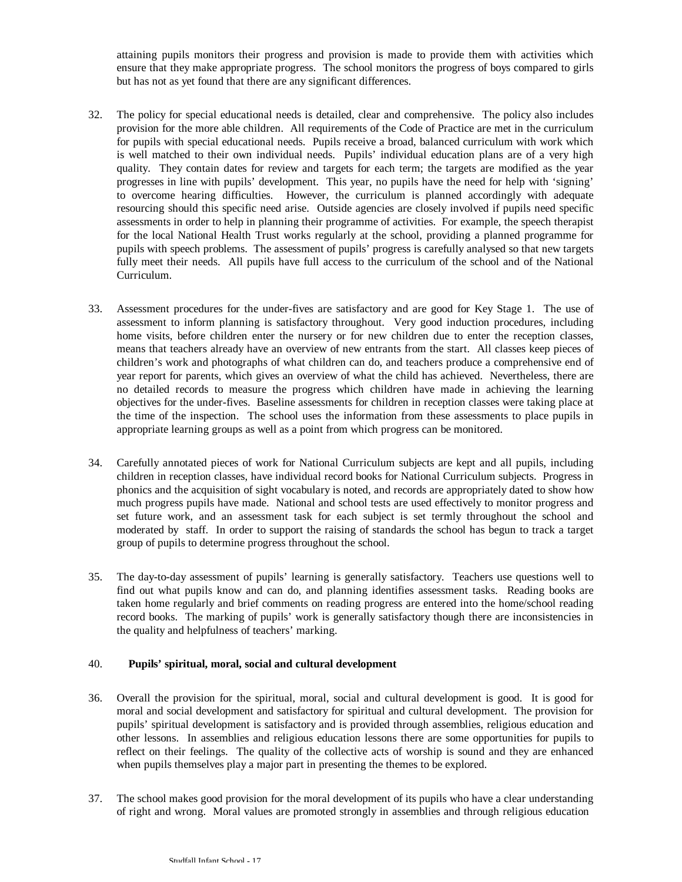attaining pupils monitors their progress and provision is made to provide them with activities which ensure that they make appropriate progress. The school monitors the progress of boys compared to girls but has not as yet found that there are any significant differences.

- 32. The policy for special educational needs is detailed, clear and comprehensive. The policy also includes provision for the more able children. All requirements of the Code of Practice are met in the curriculum for pupils with special educational needs. Pupils receive a broad, balanced curriculum with work which is well matched to their own individual needs. Pupils' individual education plans are of a very high quality. They contain dates for review and targets for each term; the targets are modified as the year progresses in line with pupils' development. This year, no pupils have the need for help with 'signing' to overcome hearing difficulties. However, the curriculum is planned accordingly with adequate resourcing should this specific need arise. Outside agencies are closely involved if pupils need specific assessments in order to help in planning their programme of activities. For example, the speech therapist for the local National Health Trust works regularly at the school, providing a planned programme for pupils with speech problems. The assessment of pupils' progress is carefully analysed so that new targets fully meet their needs. All pupils have full access to the curriculum of the school and of the National Curriculum.
- 33. Assessment procedures for the under-fives are satisfactory and are good for Key Stage 1. The use of assessment to inform planning is satisfactory throughout. Very good induction procedures, including home visits, before children enter the nursery or for new children due to enter the reception classes, means that teachers already have an overview of new entrants from the start. All classes keep pieces of children's work and photographs of what children can do, and teachers produce a comprehensive end of year report for parents, which gives an overview of what the child has achieved. Nevertheless, there are no detailed records to measure the progress which children have made in achieving the learning objectives for the under-fives. Baseline assessments for children in reception classes were taking place at the time of the inspection. The school uses the information from these assessments to place pupils in appropriate learning groups as well as a point from which progress can be monitored.
- 34. Carefully annotated pieces of work for National Curriculum subjects are kept and all pupils, including children in reception classes, have individual record books for National Curriculum subjects. Progress in phonics and the acquisition of sight vocabulary is noted, and records are appropriately dated to show how much progress pupils have made. National and school tests are used effectively to monitor progress and set future work, and an assessment task for each subject is set termly throughout the school and moderated by staff. In order to support the raising of standards the school has begun to track a target group of pupils to determine progress throughout the school.
- 35. The day-to-day assessment of pupils' learning is generally satisfactory. Teachers use questions well to find out what pupils know and can do, and planning identifies assessment tasks. Reading books are taken home regularly and brief comments on reading progress are entered into the home/school reading record books. The marking of pupils' work is generally satisfactory though there are inconsistencies in the quality and helpfulness of teachers' marking.

### 40. **Pupils' spiritual, moral, social and cultural development**

- 36. Overall the provision for the spiritual, moral, social and cultural development is good. It is good for moral and social development and satisfactory for spiritual and cultural development. The provision for pupils' spiritual development is satisfactory and is provided through assemblies, religious education and other lessons. In assemblies and religious education lessons there are some opportunities for pupils to reflect on their feelings. The quality of the collective acts of worship is sound and they are enhanced when pupils themselves play a major part in presenting the themes to be explored.
- 37. The school makes good provision for the moral development of its pupils who have a clear understanding of right and wrong. Moral values are promoted strongly in assemblies and through religious education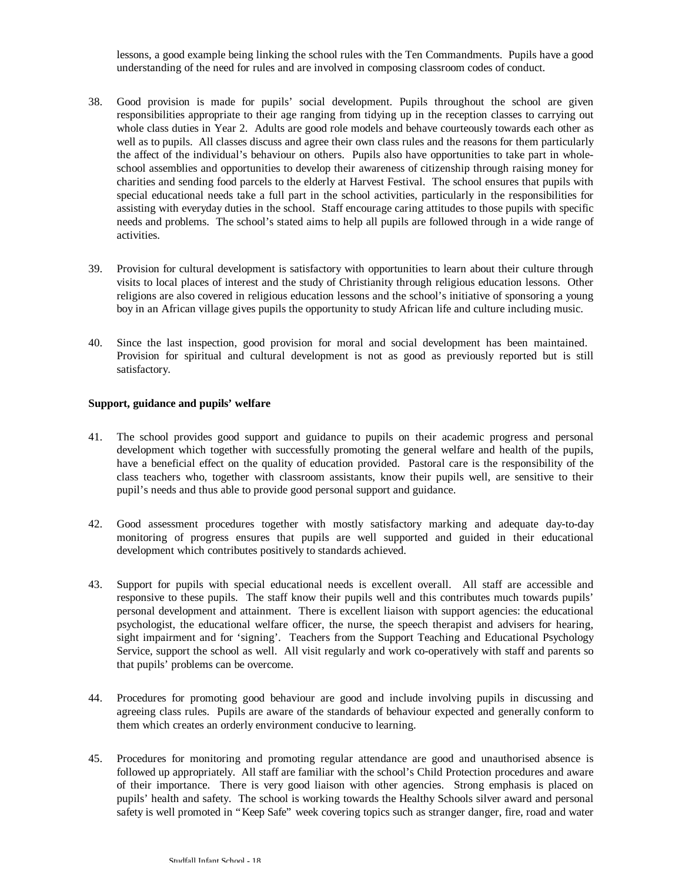lessons, a good example being linking the school rules with the Ten Commandments. Pupils have a good understanding of the need for rules and are involved in composing classroom codes of conduct.

- 38. Good provision is made for pupils' social development. Pupils throughout the school are given responsibilities appropriate to their age ranging from tidying up in the reception classes to carrying out whole class duties in Year 2. Adults are good role models and behave courteously towards each other as well as to pupils. All classes discuss and agree their own class rules and the reasons for them particularly the affect of the individual's behaviour on others. Pupils also have opportunities to take part in wholeschool assemblies and opportunities to develop their awareness of citizenship through raising money for charities and sending food parcels to the elderly at Harvest Festival. The school ensures that pupils with special educational needs take a full part in the school activities, particularly in the responsibilities for assisting with everyday duties in the school. Staff encourage caring attitudes to those pupils with specific needs and problems. The school's stated aims to help all pupils are followed through in a wide range of activities.
- 39. Provision for cultural development is satisfactory with opportunities to learn about their culture through visits to local places of interest and the study of Christianity through religious education lessons. Other religions are also covered in religious education lessons and the school's initiative of sponsoring a young boy in an African village gives pupils the opportunity to study African life and culture including music.
- 40. Since the last inspection, good provision for moral and social development has been maintained. Provision for spiritual and cultural development is not as good as previously reported but is still satisfactory.

#### **Support, guidance and pupils' welfare**

- 41. The school provides good support and guidance to pupils on their academic progress and personal development which together with successfully promoting the general welfare and health of the pupils, have a beneficial effect on the quality of education provided. Pastoral care is the responsibility of the class teachers who, together with classroom assistants, know their pupils well, are sensitive to their pupil's needs and thus able to provide good personal support and guidance.
- 42. Good assessment procedures together with mostly satisfactory marking and adequate day-to-day monitoring of progress ensures that pupils are well supported and guided in their educational development which contributes positively to standards achieved.
- 43. Support for pupils with special educational needs is excellent overall. All staff are accessible and responsive to these pupils. The staff know their pupils well and this contributes much towards pupils' personal development and attainment. There is excellent liaison with support agencies: the educational psychologist, the educational welfare officer, the nurse, the speech therapist and advisers for hearing, sight impairment and for 'signing'. Teachers from the Support Teaching and Educational Psychology Service, support the school as well. All visit regularly and work co-operatively with staff and parents so that pupils' problems can be overcome.
- 44. Procedures for promoting good behaviour are good and include involving pupils in discussing and agreeing class rules. Pupils are aware of the standards of behaviour expected and generally conform to them which creates an orderly environment conducive to learning.
- 45. Procedures for monitoring and promoting regular attendance are good and unauthorised absence is followed up appropriately. All staff are familiar with the school's Child Protection procedures and aware of their importance. There is very good liaison with other agencies. Strong emphasis is placed on pupils' health and safety. The school is working towards the Healthy Schools silver award and personal safety is well promoted in "Keep Safe" week covering topics such as stranger danger, fire, road and water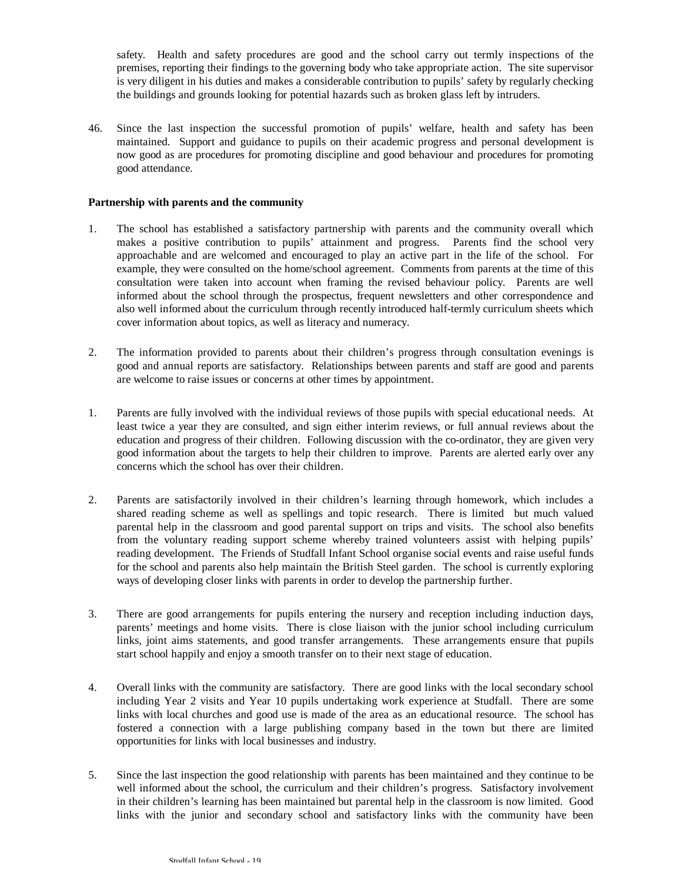safety. Health and safety procedures are good and the school carry out termly inspections of the premises, reporting their findings to the governing body who take appropriate action. The site supervisor is very diligent in his duties and makes a considerable contribution to pupils' safety by regularly checking the buildings and grounds looking for potential hazards such as broken glass left by intruders.

46. Since the last inspection the successful promotion of pupils' welfare, health and safety has been maintained. Support and guidance to pupils on their academic progress and personal development is now good as are procedures for promoting discipline and good behaviour and procedures for promoting good attendance.

### **Partnership with parents and the community**

- 1. The school has established a satisfactory partnership with parents and the community overall which makes a positive contribution to pupils' attainment and progress. Parents find the school very approachable and are welcomed and encouraged to play an active part in the life of the school. For example, they were consulted on the home/school agreement. Comments from parents at the time of this consultation were taken into account when framing the revised behaviour policy. Parents are well informed about the school through the prospectus, frequent newsletters and other correspondence and also well informed about the curriculum through recently introduced half-termly curriculum sheets which cover information about topics, as well as literacy and numeracy.
- 2. The information provided to parents about their children's progress through consultation evenings is good and annual reports are satisfactory. Relationships between parents and staff are good and parents are welcome to raise issues or concerns at other times by appointment.
- 1. Parents are fully involved with the individual reviews of those pupils with special educational needs. At least twice a year they are consulted, and sign either interim reviews, or full annual reviews about the education and progress of their children. Following discussion with the co-ordinator, they are given very good information about the targets to help their children to improve. Parents are alerted early over any concerns which the school has over their children.
- 2. Parents are satisfactorily involved in their children's learning through homework, which includes a shared reading scheme as well as spellings and topic research. There is limited but much valued parental help in the classroom and good parental support on trips and visits. The school also benefits from the voluntary reading support scheme whereby trained volunteers assist with helping pupils' reading development. The Friends of Studfall Infant School organise social events and raise useful funds for the school and parents also help maintain the British Steel garden. The school is currently exploring ways of developing closer links with parents in order to develop the partnership further.
- 3. There are good arrangements for pupils entering the nursery and reception including induction days, parents' meetings and home visits. There is close liaison with the junior school including curriculum links, joint aims statements, and good transfer arrangements. These arrangements ensure that pupils start school happily and enjoy a smooth transfer on to their next stage of education.
- 4. Overall links with the community are satisfactory. There are good links with the local secondary school including Year 2 visits and Year 10 pupils undertaking work experience at Studfall. There are some links with local churches and good use is made of the area as an educational resource. The school has fostered a connection with a large publishing company based in the town but there are limited opportunities for links with local businesses and industry.
- 5. Since the last inspection the good relationship with parents has been maintained and they continue to be well informed about the school, the curriculum and their children's progress. Satisfactory involvement in their children's learning has been maintained but parental help in the classroom is now limited. Good links with the junior and secondary school and satisfactory links with the community have been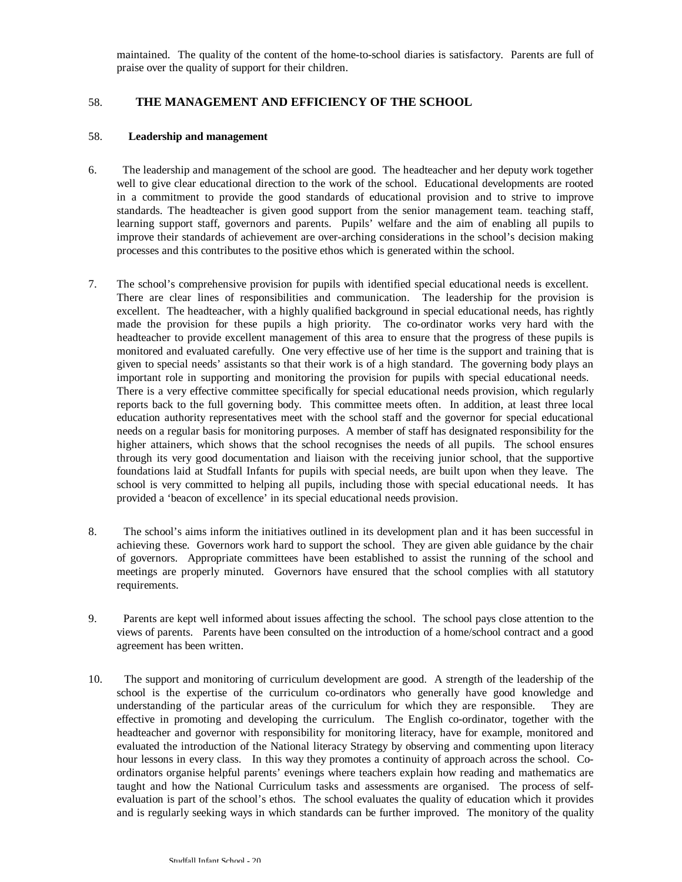maintained. The quality of the content of the home-to-school diaries is satisfactory. Parents are full of praise over the quality of support for their children.

## 58. **THE MANAGEMENT AND EFFICIENCY OF THE SCHOOL**

#### 58. **Leadership and management**

- 6. The leadership and management of the school are good. The headteacher and her deputy work together well to give clear educational direction to the work of the school. Educational developments are rooted in a commitment to provide the good standards of educational provision and to strive to improve standards. The headteacher is given good support from the senior management team. teaching staff, learning support staff, governors and parents. Pupils' welfare and the aim of enabling all pupils to improve their standards of achievement are over-arching considerations in the school's decision making processes and this contributes to the positive ethos which is generated within the school.
- 7. The school's comprehensive provision for pupils with identified special educational needs is excellent. There are clear lines of responsibilities and communication. The leadership for the provision is excellent. The headteacher, with a highly qualified background in special educational needs, has rightly made the provision for these pupils a high priority. The co-ordinator works very hard with the headteacher to provide excellent management of this area to ensure that the progress of these pupils is monitored and evaluated carefully. One very effective use of her time is the support and training that is given to special needs' assistants so that their work is of a high standard. The governing body plays an important role in supporting and monitoring the provision for pupils with special educational needs. There is a very effective committee specifically for special educational needs provision, which regularly reports back to the full governing body. This committee meets often. In addition, at least three local education authority representatives meet with the school staff and the governor for special educational needs on a regular basis for monitoring purposes. A member of staff has designated responsibility for the higher attainers, which shows that the school recognises the needs of all pupils. The school ensures through its very good documentation and liaison with the receiving junior school, that the supportive foundations laid at Studfall Infants for pupils with special needs, are built upon when they leave. The school is very committed to helping all pupils, including those with special educational needs. It has provided a 'beacon of excellence' in its special educational needs provision.
- 8. The school's aims inform the initiatives outlined in its development plan and it has been successful in achieving these. Governors work hard to support the school. They are given able guidance by the chair of governors. Appropriate committees have been established to assist the running of the school and meetings are properly minuted. Governors have ensured that the school complies with all statutory requirements.
- 9. Parents are kept well informed about issues affecting the school. The school pays close attention to the views of parents. Parents have been consulted on the introduction of a home/school contract and a good agreement has been written.
- 10. The support and monitoring of curriculum development are good. A strength of the leadership of the school is the expertise of the curriculum co-ordinators who generally have good knowledge and understanding of the particular areas of the curriculum for which they are responsible. They are effective in promoting and developing the curriculum. The English co-ordinator, together with the headteacher and governor with responsibility for monitoring literacy, have for example, monitored and evaluated the introduction of the National literacy Strategy by observing and commenting upon literacy hour lessons in every class. In this way they promotes a continuity of approach across the school. Coordinators organise helpful parents' evenings where teachers explain how reading and mathematics are taught and how the National Curriculum tasks and assessments are organised. The process of selfevaluation is part of the school's ethos. The school evaluates the quality of education which it provides and is regularly seeking ways in which standards can be further improved. The monitory of the quality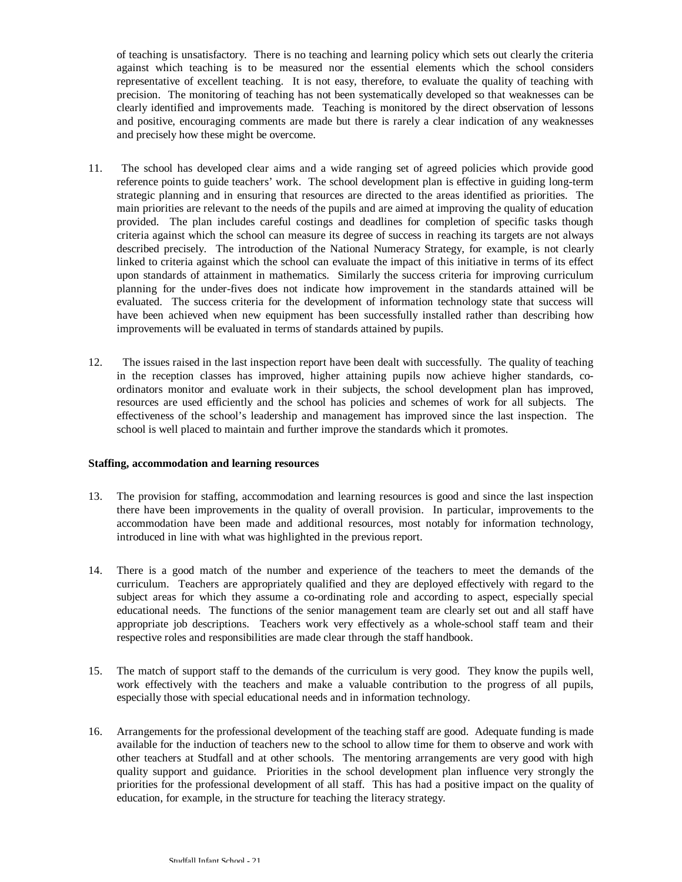of teaching is unsatisfactory. There is no teaching and learning policy which sets out clearly the criteria against which teaching is to be measured nor the essential elements which the school considers representative of excellent teaching. It is not easy, therefore, to evaluate the quality of teaching with precision. The monitoring of teaching has not been systematically developed so that weaknesses can be clearly identified and improvements made. Teaching is monitored by the direct observation of lessons and positive, encouraging comments are made but there is rarely a clear indication of any weaknesses and precisely how these might be overcome.

- 11. The school has developed clear aims and a wide ranging set of agreed policies which provide good reference points to guide teachers' work. The school development plan is effective in guiding long-term strategic planning and in ensuring that resources are directed to the areas identified as priorities. The main priorities are relevant to the needs of the pupils and are aimed at improving the quality of education provided. The plan includes careful costings and deadlines for completion of specific tasks though criteria against which the school can measure its degree of success in reaching its targets are not always described precisely. The introduction of the National Numeracy Strategy, for example, is not clearly linked to criteria against which the school can evaluate the impact of this initiative in terms of its effect upon standards of attainment in mathematics. Similarly the success criteria for improving curriculum planning for the under-fives does not indicate how improvement in the standards attained will be evaluated. The success criteria for the development of information technology state that success will have been achieved when new equipment has been successfully installed rather than describing how improvements will be evaluated in terms of standards attained by pupils.
- 12. The issues raised in the last inspection report have been dealt with successfully. The quality of teaching in the reception classes has improved, higher attaining pupils now achieve higher standards, coordinators monitor and evaluate work in their subjects, the school development plan has improved, resources are used efficiently and the school has policies and schemes of work for all subjects. The effectiveness of the school's leadership and management has improved since the last inspection. The school is well placed to maintain and further improve the standards which it promotes.

#### **Staffing, accommodation and learning resources**

- 13. The provision for staffing, accommodation and learning resources is good and since the last inspection there have been improvements in the quality of overall provision. In particular, improvements to the accommodation have been made and additional resources, most notably for information technology, introduced in line with what was highlighted in the previous report.
- 14. There is a good match of the number and experience of the teachers to meet the demands of the curriculum. Teachers are appropriately qualified and they are deployed effectively with regard to the subject areas for which they assume a co-ordinating role and according to aspect, especially special educational needs. The functions of the senior management team are clearly set out and all staff have appropriate job descriptions. Teachers work very effectively as a whole-school staff team and their respective roles and responsibilities are made clear through the staff handbook.
- 15. The match of support staff to the demands of the curriculum is very good. They know the pupils well, work effectively with the teachers and make a valuable contribution to the progress of all pupils, especially those with special educational needs and in information technology.
- 16. Arrangements for the professional development of the teaching staff are good. Adequate funding is made available for the induction of teachers new to the school to allow time for them to observe and work with other teachers at Studfall and at other schools. The mentoring arrangements are very good with high quality support and guidance. Priorities in the school development plan influence very strongly the priorities for the professional development of all staff. This has had a positive impact on the quality of education, for example, in the structure for teaching the literacy strategy.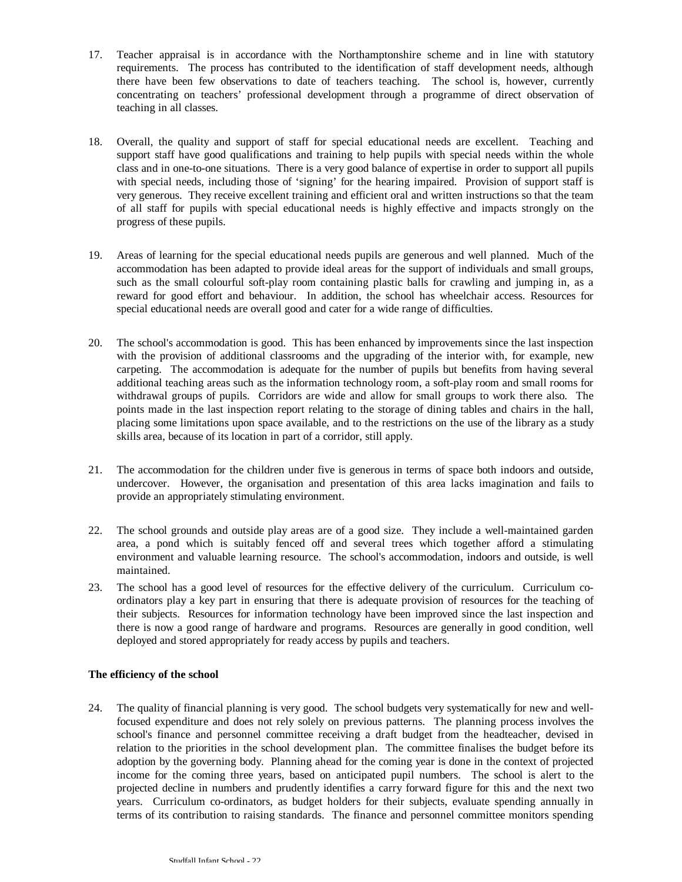- 17. Teacher appraisal is in accordance with the Northamptonshire scheme and in line with statutory requirements. The process has contributed to the identification of staff development needs, although there have been few observations to date of teachers teaching. The school is, however, currently concentrating on teachers' professional development through a programme of direct observation of teaching in all classes.
- 18. Overall, the quality and support of staff for special educational needs are excellent. Teaching and support staff have good qualifications and training to help pupils with special needs within the whole class and in one-to-one situations. There is a very good balance of expertise in order to support all pupils with special needs, including those of 'signing' for the hearing impaired. Provision of support staff is very generous. They receive excellent training and efficient oral and written instructions so that the team of all staff for pupils with special educational needs is highly effective and impacts strongly on the progress of these pupils.
- 19. Areas of learning for the special educational needs pupils are generous and well planned. Much of the accommodation has been adapted to provide ideal areas for the support of individuals and small groups, such as the small colourful soft-play room containing plastic balls for crawling and jumping in, as a reward for good effort and behaviour. In addition, the school has wheelchair access. Resources for special educational needs are overall good and cater for a wide range of difficulties.
- 20. The school's accommodation is good. This has been enhanced by improvements since the last inspection with the provision of additional classrooms and the upgrading of the interior with, for example, new carpeting. The accommodation is adequate for the number of pupils but benefits from having several additional teaching areas such as the information technology room, a soft-play room and small rooms for withdrawal groups of pupils. Corridors are wide and allow for small groups to work there also. The points made in the last inspection report relating to the storage of dining tables and chairs in the hall, placing some limitations upon space available, and to the restrictions on the use of the library as a study skills area, because of its location in part of a corridor, still apply.
- 21. The accommodation for the children under five is generous in terms of space both indoors and outside, undercover. However, the organisation and presentation of this area lacks imagination and fails to provide an appropriately stimulating environment.
- 22. The school grounds and outside play areas are of a good size. They include a well-maintained garden area, a pond which is suitably fenced off and several trees which together afford a stimulating environment and valuable learning resource. The school's accommodation, indoors and outside, is well maintained.
- 23. The school has a good level of resources for the effective delivery of the curriculum. Curriculum coordinators play a key part in ensuring that there is adequate provision of resources for the teaching of their subjects. Resources for information technology have been improved since the last inspection and there is now a good range of hardware and programs. Resources are generally in good condition, well deployed and stored appropriately for ready access by pupils and teachers.

### **The efficiency of the school**

24. The quality of financial planning is very good. The school budgets very systematically for new and wellfocused expenditure and does not rely solely on previous patterns. The planning process involves the school's finance and personnel committee receiving a draft budget from the headteacher, devised in relation to the priorities in the school development plan. The committee finalises the budget before its adoption by the governing body. Planning ahead for the coming year is done in the context of projected income for the coming three years, based on anticipated pupil numbers. The school is alert to the projected decline in numbers and prudently identifies a carry forward figure for this and the next two years. Curriculum co-ordinators, as budget holders for their subjects, evaluate spending annually in terms of its contribution to raising standards. The finance and personnel committee monitors spending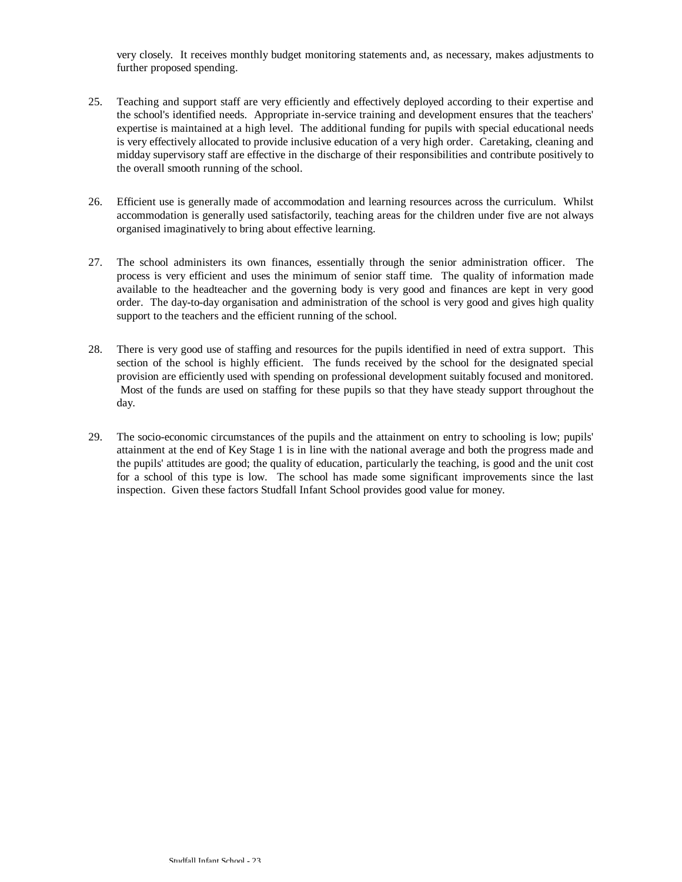very closely. It receives monthly budget monitoring statements and, as necessary, makes adjustments to further proposed spending.

- 25. Teaching and support staff are very efficiently and effectively deployed according to their expertise and the school's identified needs. Appropriate in-service training and development ensures that the teachers' expertise is maintained at a high level. The additional funding for pupils with special educational needs is very effectively allocated to provide inclusive education of a very high order. Caretaking, cleaning and midday supervisory staff are effective in the discharge of their responsibilities and contribute positively to the overall smooth running of the school.
- 26. Efficient use is generally made of accommodation and learning resources across the curriculum. Whilst accommodation is generally used satisfactorily, teaching areas for the children under five are not always organised imaginatively to bring about effective learning.
- 27. The school administers its own finances, essentially through the senior administration officer. The process is very efficient and uses the minimum of senior staff time. The quality of information made available to the headteacher and the governing body is very good and finances are kept in very good order. The day-to-day organisation and administration of the school is very good and gives high quality support to the teachers and the efficient running of the school.
- 28. There is very good use of staffing and resources for the pupils identified in need of extra support. This section of the school is highly efficient. The funds received by the school for the designated special provision are efficiently used with spending on professional development suitably focused and monitored. Most of the funds are used on staffing for these pupils so that they have steady support throughout the day.
- 29. The socio-economic circumstances of the pupils and the attainment on entry to schooling is low; pupils' attainment at the end of Key Stage 1 is in line with the national average and both the progress made and the pupils' attitudes are good; the quality of education, particularly the teaching, is good and the unit cost for a school of this type is low. The school has made some significant improvements since the last inspection. Given these factors Studfall Infant School provides good value for money.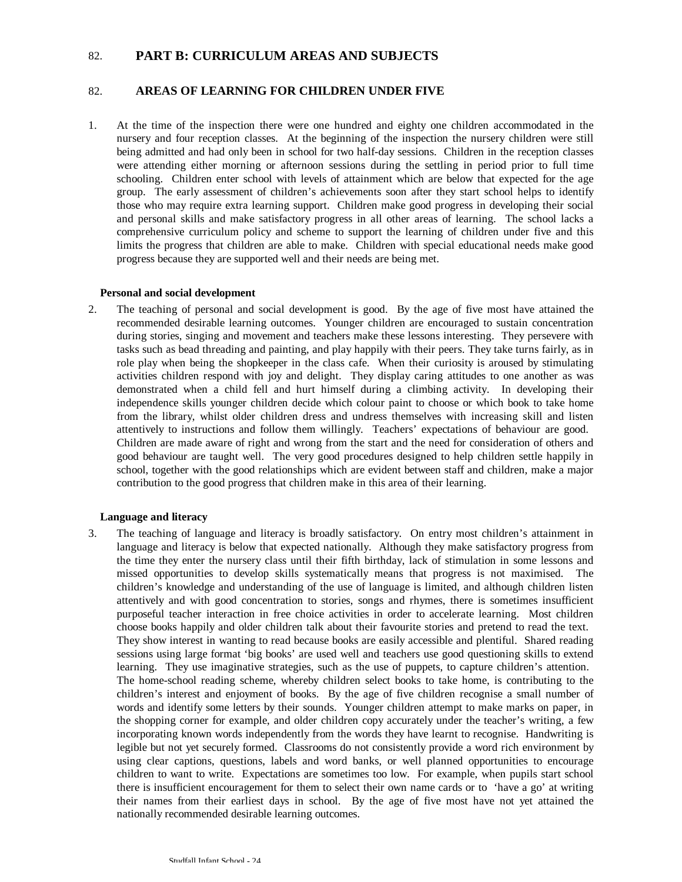## 82. **PART B: CURRICULUM AREAS AND SUBJECTS**

## 82. **AREAS OF LEARNING FOR CHILDREN UNDER FIVE**

1. At the time of the inspection there were one hundred and eighty one children accommodated in the nursery and four reception classes. At the beginning of the inspection the nursery children were still being admitted and had only been in school for two half-day sessions. Children in the reception classes were attending either morning or afternoon sessions during the settling in period prior to full time schooling. Children enter school with levels of attainment which are below that expected for the age group. The early assessment of children's achievements soon after they start school helps to identify those who may require extra learning support. Children make good progress in developing their social and personal skills and make satisfactory progress in all other areas of learning. The school lacks a comprehensive curriculum policy and scheme to support the learning of children under five and this limits the progress that children are able to make. Children with special educational needs make good progress because they are supported well and their needs are being met.

#### **Personal and social development**

2. The teaching of personal and social development is good. By the age of five most have attained the recommended desirable learning outcomes. Younger children are encouraged to sustain concentration during stories, singing and movement and teachers make these lessons interesting. They persevere with tasks such as bead threading and painting, and play happily with their peers. They take turns fairly, as in role play when being the shopkeeper in the class cafe. When their curiosity is aroused by stimulating activities children respond with joy and delight. They display caring attitudes to one another as was demonstrated when a child fell and hurt himself during a climbing activity. In developing their independence skills younger children decide which colour paint to choose or which book to take home from the library, whilst older children dress and undress themselves with increasing skill and listen attentively to instructions and follow them willingly. Teachers' expectations of behaviour are good. Children are made aware of right and wrong from the start and the need for consideration of others and good behaviour are taught well. The very good procedures designed to help children settle happily in school, together with the good relationships which are evident between staff and children, make a major contribution to the good progress that children make in this area of their learning.

#### **Language and literacy**

3. The teaching of language and literacy is broadly satisfactory. On entry most children's attainment in language and literacy is below that expected nationally. Although they make satisfactory progress from the time they enter the nursery class until their fifth birthday, lack of stimulation in some lessons and missed opportunities to develop skills systematically means that progress is not maximised. The children's knowledge and understanding of the use of language is limited, and although children listen attentively and with good concentration to stories, songs and rhymes, there is sometimes insufficient purposeful teacher interaction in free choice activities in order to accelerate learning. Most children choose books happily and older children talk about their favourite stories and pretend to read the text. They show interest in wanting to read because books are easily accessible and plentiful. Shared reading sessions using large format 'big books' are used well and teachers use good questioning skills to extend learning. They use imaginative strategies, such as the use of puppets, to capture children's attention. The home-school reading scheme, whereby children select books to take home, is contributing to the children's interest and enjoyment of books. By the age of five children recognise a small number of words and identify some letters by their sounds. Younger children attempt to make marks on paper, in the shopping corner for example, and older children copy accurately under the teacher's writing, a few incorporating known words independently from the words they have learnt to recognise. Handwriting is legible but not yet securely formed. Classrooms do not consistently provide a word rich environment by using clear captions, questions, labels and word banks, or well planned opportunities to encourage children to want to write. Expectations are sometimes too low. For example, when pupils start school there is insufficient encouragement for them to select their own name cards or to 'have a go' at writing their names from their earliest days in school. By the age of five most have not yet attained the nationally recommended desirable learning outcomes.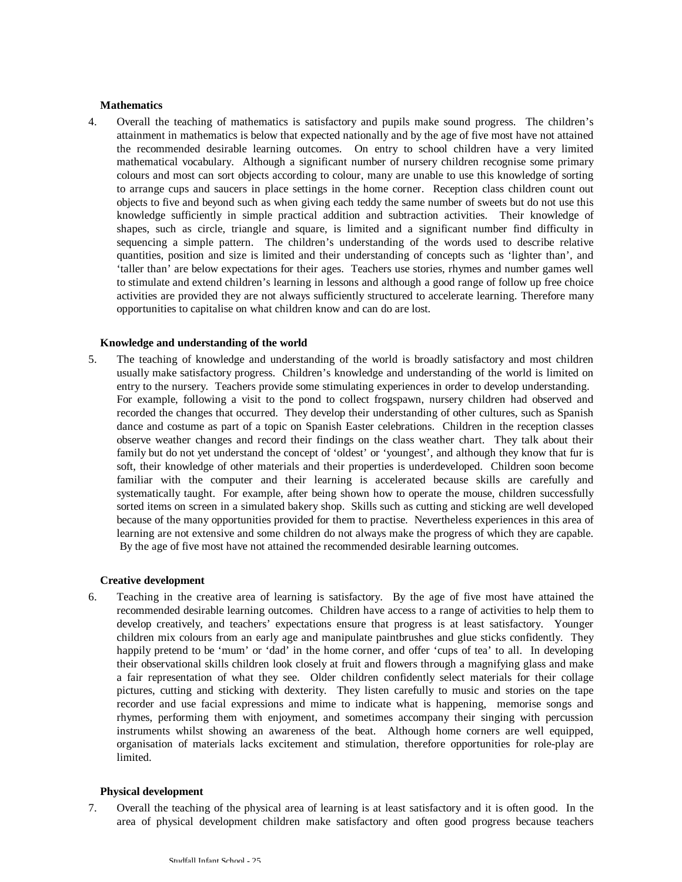#### **Mathematics**

4. Overall the teaching of mathematics is satisfactory and pupils make sound progress. The children's attainment in mathematics is below that expected nationally and by the age of five most have not attained the recommended desirable learning outcomes. On entry to school children have a very limited mathematical vocabulary. Although a significant number of nursery children recognise some primary colours and most can sort objects according to colour, many are unable to use this knowledge of sorting to arrange cups and saucers in place settings in the home corner. Reception class children count out objects to five and beyond such as when giving each teddy the same number of sweets but do not use this knowledge sufficiently in simple practical addition and subtraction activities. Their knowledge of shapes, such as circle, triangle and square, is limited and a significant number find difficulty in sequencing a simple pattern. The children's understanding of the words used to describe relative quantities, position and size is limited and their understanding of concepts such as 'lighter than', and 'taller than' are below expectations for their ages. Teachers use stories, rhymes and number games well to stimulate and extend children's learning in lessons and although a good range of follow up free choice activities are provided they are not always sufficiently structured to accelerate learning. Therefore many opportunities to capitalise on what children know and can do are lost.

#### **Knowledge and understanding of the world**

5. The teaching of knowledge and understanding of the world is broadly satisfactory and most children usually make satisfactory progress. Children's knowledge and understanding of the world is limited on entry to the nursery. Teachers provide some stimulating experiences in order to develop understanding. For example, following a visit to the pond to collect frogspawn, nursery children had observed and recorded the changes that occurred. They develop their understanding of other cultures, such as Spanish dance and costume as part of a topic on Spanish Easter celebrations. Children in the reception classes observe weather changes and record their findings on the class weather chart. They talk about their family but do not yet understand the concept of 'oldest' or 'youngest', and although they know that fur is soft, their knowledge of other materials and their properties is underdeveloped. Children soon become familiar with the computer and their learning is accelerated because skills are carefully and systematically taught. For example, after being shown how to operate the mouse, children successfully sorted items on screen in a simulated bakery shop. Skills such as cutting and sticking are well developed because of the many opportunities provided for them to practise. Nevertheless experiences in this area of learning are not extensive and some children do not always make the progress of which they are capable. By the age of five most have not attained the recommended desirable learning outcomes.

#### **Creative development**

6. Teaching in the creative area of learning is satisfactory. By the age of five most have attained the recommended desirable learning outcomes. Children have access to a range of activities to help them to develop creatively, and teachers' expectations ensure that progress is at least satisfactory. Younger children mix colours from an early age and manipulate paintbrushes and glue sticks confidently. They happily pretend to be 'mum' or 'dad' in the home corner, and offer 'cups of tea' to all. In developing their observational skills children look closely at fruit and flowers through a magnifying glass and make a fair representation of what they see. Older children confidently select materials for their collage pictures, cutting and sticking with dexterity. They listen carefully to music and stories on the tape recorder and use facial expressions and mime to indicate what is happening, memorise songs and rhymes, performing them with enjoyment, and sometimes accompany their singing with percussion instruments whilst showing an awareness of the beat. Although home corners are well equipped, organisation of materials lacks excitement and stimulation, therefore opportunities for role-play are limited.

#### **Physical development**

7. Overall the teaching of the physical area of learning is at least satisfactory and it is often good. In the area of physical development children make satisfactory and often good progress because teachers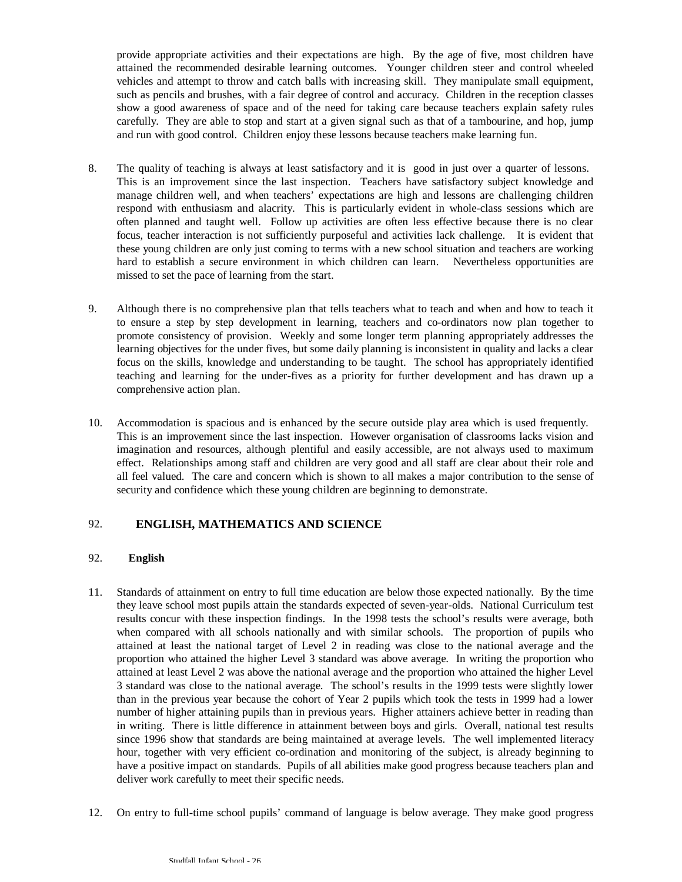provide appropriate activities and their expectations are high. By the age of five, most children have attained the recommended desirable learning outcomes. Younger children steer and control wheeled vehicles and attempt to throw and catch balls with increasing skill. They manipulate small equipment, such as pencils and brushes, with a fair degree of control and accuracy. Children in the reception classes show a good awareness of space and of the need for taking care because teachers explain safety rules carefully. They are able to stop and start at a given signal such as that of a tambourine, and hop, jump and run with good control. Children enjoy these lessons because teachers make learning fun.

- 8. The quality of teaching is always at least satisfactory and it is good in just over a quarter of lessons. This is an improvement since the last inspection. Teachers have satisfactory subject knowledge and manage children well, and when teachers' expectations are high and lessons are challenging children respond with enthusiasm and alacrity. This is particularly evident in whole-class sessions which are often planned and taught well. Follow up activities are often less effective because there is no clear focus, teacher interaction is not sufficiently purposeful and activities lack challenge. It is evident that these young children are only just coming to terms with a new school situation and teachers are working hard to establish a secure environment in which children can learn. Nevertheless opportunities are missed to set the pace of learning from the start.
- 9. Although there is no comprehensive plan that tells teachers what to teach and when and how to teach it to ensure a step by step development in learning, teachers and co-ordinators now plan together to promote consistency of provision. Weekly and some longer term planning appropriately addresses the learning objectives for the under fives, but some daily planning is inconsistent in quality and lacks a clear focus on the skills, knowledge and understanding to be taught. The school has appropriately identified teaching and learning for the under-fives as a priority for further development and has drawn up a comprehensive action plan.
- 10. Accommodation is spacious and is enhanced by the secure outside play area which is used frequently. This is an improvement since the last inspection. However organisation of classrooms lacks vision and imagination and resources, although plentiful and easily accessible, are not always used to maximum effect. Relationships among staff and children are very good and all staff are clear about their role and all feel valued. The care and concern which is shown to all makes a major contribution to the sense of security and confidence which these young children are beginning to demonstrate.

## 92. **ENGLISH, MATHEMATICS AND SCIENCE**

### 92. **English**

- 11. Standards of attainment on entry to full time education are below those expected nationally. By the time they leave school most pupils attain the standards expected of seven-year-olds. National Curriculum test results concur with these inspection findings. In the 1998 tests the school's results were average, both when compared with all schools nationally and with similar schools. The proportion of pupils who attained at least the national target of Level 2 in reading was close to the national average and the proportion who attained the higher Level 3 standard was above average. In writing the proportion who attained at least Level 2 was above the national average and the proportion who attained the higher Level 3 standard was close to the national average. The school's results in the 1999 tests were slightly lower than in the previous year because the cohort of Year 2 pupils which took the tests in 1999 had a lower number of higher attaining pupils than in previous years. Higher attainers achieve better in reading than in writing. There is little difference in attainment between boys and girls. Overall, national test results since 1996 show that standards are being maintained at average levels. The well implemented literacy hour, together with very efficient co-ordination and monitoring of the subject, is already beginning to have a positive impact on standards. Pupils of all abilities make good progress because teachers plan and deliver work carefully to meet their specific needs.
- 12. On entry to full-time school pupils' command of language is below average. They make good progress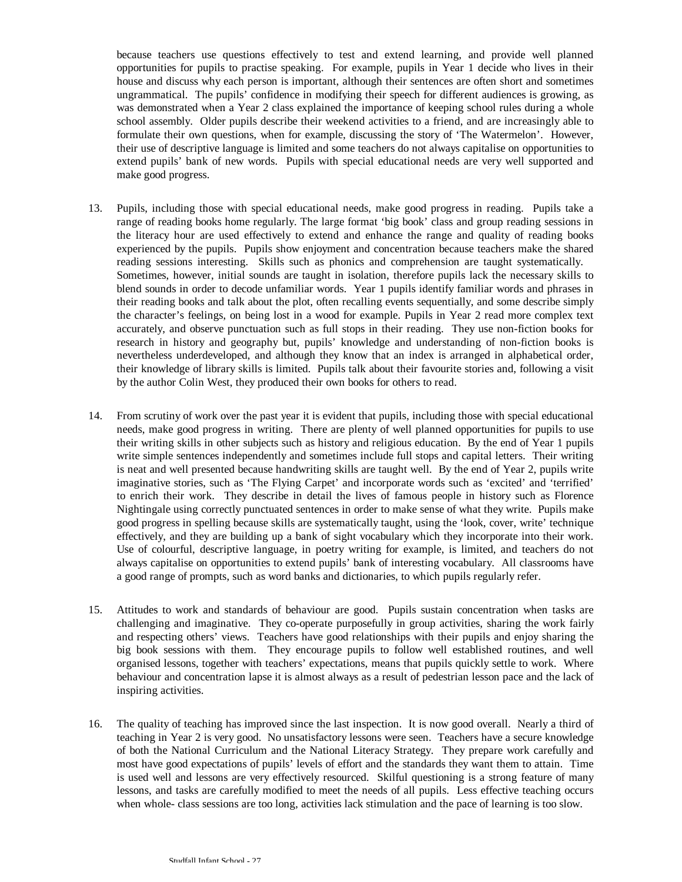because teachers use questions effectively to test and extend learning, and provide well planned opportunities for pupils to practise speaking. For example, pupils in Year 1 decide who lives in their house and discuss why each person is important, although their sentences are often short and sometimes ungrammatical. The pupils' confidence in modifying their speech for different audiences is growing, as was demonstrated when a Year 2 class explained the importance of keeping school rules during a whole school assembly. Older pupils describe their weekend activities to a friend, and are increasingly able to formulate their own questions, when for example, discussing the story of 'The Watermelon'. However, their use of descriptive language is limited and some teachers do not always capitalise on opportunities to extend pupils' bank of new words. Pupils with special educational needs are very well supported and make good progress.

- 13. Pupils, including those with special educational needs, make good progress in reading. Pupils take a range of reading books home regularly. The large format 'big book' class and group reading sessions in the literacy hour are used effectively to extend and enhance the range and quality of reading books experienced by the pupils. Pupils show enjoyment and concentration because teachers make the shared reading sessions interesting. Skills such as phonics and comprehension are taught systematically. Sometimes, however, initial sounds are taught in isolation, therefore pupils lack the necessary skills to blend sounds in order to decode unfamiliar words. Year 1 pupils identify familiar words and phrases in their reading books and talk about the plot, often recalling events sequentially, and some describe simply the character's feelings, on being lost in a wood for example. Pupils in Year 2 read more complex text accurately, and observe punctuation such as full stops in their reading. They use non-fiction books for research in history and geography but, pupils' knowledge and understanding of non-fiction books is nevertheless underdeveloped, and although they know that an index is arranged in alphabetical order, their knowledge of library skills is limited. Pupils talk about their favourite stories and, following a visit by the author Colin West, they produced their own books for others to read.
- 14. From scrutiny of work over the past year it is evident that pupils, including those with special educational needs, make good progress in writing. There are plenty of well planned opportunities for pupils to use their writing skills in other subjects such as history and religious education. By the end of Year 1 pupils write simple sentences independently and sometimes include full stops and capital letters. Their writing is neat and well presented because handwriting skills are taught well. By the end of Year 2, pupils write imaginative stories, such as 'The Flying Carpet' and incorporate words such as 'excited' and 'terrified' to enrich their work. They describe in detail the lives of famous people in history such as Florence Nightingale using correctly punctuated sentences in order to make sense of what they write. Pupils make good progress in spelling because skills are systematically taught, using the 'look, cover, write' technique effectively, and they are building up a bank of sight vocabulary which they incorporate into their work. Use of colourful, descriptive language, in poetry writing for example, is limited, and teachers do not always capitalise on opportunities to extend pupils' bank of interesting vocabulary. All classrooms have a good range of prompts, such as word banks and dictionaries, to which pupils regularly refer.
- 15. Attitudes to work and standards of behaviour are good. Pupils sustain concentration when tasks are challenging and imaginative. They co-operate purposefully in group activities, sharing the work fairly and respecting others' views. Teachers have good relationships with their pupils and enjoy sharing the big book sessions with them. They encourage pupils to follow well established routines, and well organised lessons, together with teachers' expectations, means that pupils quickly settle to work. Where behaviour and concentration lapse it is almost always as a result of pedestrian lesson pace and the lack of inspiring activities.
- 16. The quality of teaching has improved since the last inspection. It is now good overall. Nearly a third of teaching in Year 2 is very good. No unsatisfactory lessons were seen. Teachers have a secure knowledge of both the National Curriculum and the National Literacy Strategy. They prepare work carefully and most have good expectations of pupils' levels of effort and the standards they want them to attain. Time is used well and lessons are very effectively resourced. Skilful questioning is a strong feature of many lessons, and tasks are carefully modified to meet the needs of all pupils. Less effective teaching occurs when whole- class sessions are too long, activities lack stimulation and the pace of learning is too slow.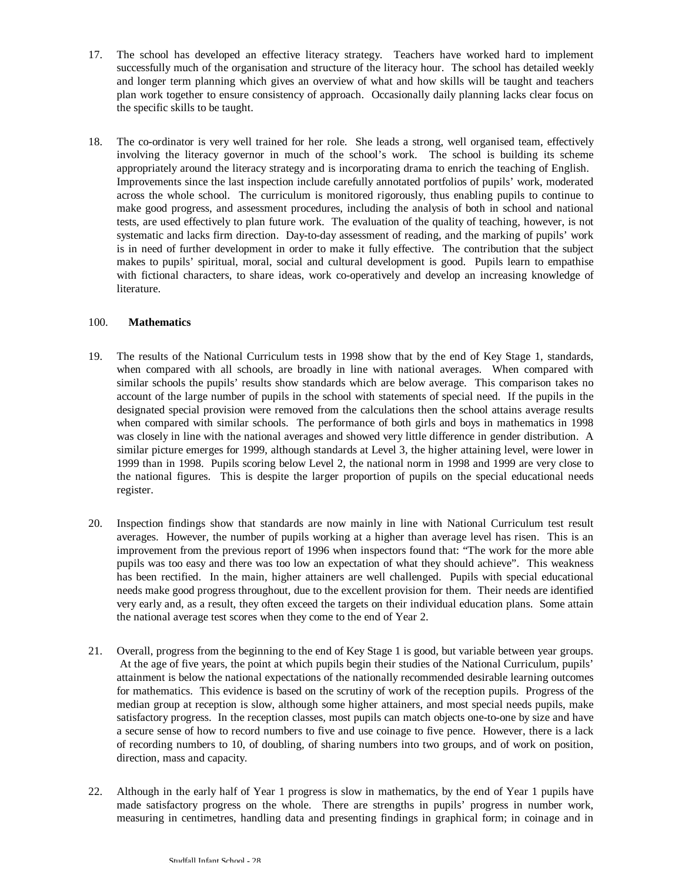- 17. The school has developed an effective literacy strategy. Teachers have worked hard to implement successfully much of the organisation and structure of the literacy hour. The school has detailed weekly and longer term planning which gives an overview of what and how skills will be taught and teachers plan work together to ensure consistency of approach. Occasionally daily planning lacks clear focus on the specific skills to be taught.
- 18. The co-ordinator is very well trained for her role. She leads a strong, well organised team, effectively involving the literacy governor in much of the school's work. The school is building its scheme appropriately around the literacy strategy and is incorporating drama to enrich the teaching of English. Improvements since the last inspection include carefully annotated portfolios of pupils' work, moderated across the whole school. The curriculum is monitored rigorously, thus enabling pupils to continue to make good progress, and assessment procedures, including the analysis of both in school and national tests, are used effectively to plan future work. The evaluation of the quality of teaching, however, is not systematic and lacks firm direction. Day-to-day assessment of reading, and the marking of pupils' work is in need of further development in order to make it fully effective. The contribution that the subject makes to pupils' spiritual, moral, social and cultural development is good. Pupils learn to empathise with fictional characters, to share ideas, work co-operatively and develop an increasing knowledge of literature.

### 100. **Mathematics**

- 19. The results of the National Curriculum tests in 1998 show that by the end of Key Stage 1, standards, when compared with all schools, are broadly in line with national averages. When compared with similar schools the pupils' results show standards which are below average. This comparison takes no account of the large number of pupils in the school with statements of special need. If the pupils in the designated special provision were removed from the calculations then the school attains average results when compared with similar schools. The performance of both girls and boys in mathematics in 1998 was closely in line with the national averages and showed very little difference in gender distribution. A similar picture emerges for 1999, although standards at Level 3, the higher attaining level, were lower in 1999 than in 1998. Pupils scoring below Level 2, the national norm in 1998 and 1999 are very close to the national figures. This is despite the larger proportion of pupils on the special educational needs register.
- 20. Inspection findings show that standards are now mainly in line with National Curriculum test result averages. However, the number of pupils working at a higher than average level has risen. This is an improvement from the previous report of 1996 when inspectors found that: "The work for the more able pupils was too easy and there was too low an expectation of what they should achieve". This weakness has been rectified. In the main, higher attainers are well challenged. Pupils with special educational needs make good progress throughout, due to the excellent provision for them. Their needs are identified very early and, as a result, they often exceed the targets on their individual education plans. Some attain the national average test scores when they come to the end of Year 2.
- 21. Overall, progress from the beginning to the end of Key Stage 1 is good, but variable between year groups. At the age of five years, the point at which pupils begin their studies of the National Curriculum, pupils' attainment is below the national expectations of the nationally recommended desirable learning outcomes for mathematics. This evidence is based on the scrutiny of work of the reception pupils. Progress of the median group at reception is slow, although some higher attainers, and most special needs pupils, make satisfactory progress. In the reception classes, most pupils can match objects one-to-one by size and have a secure sense of how to record numbers to five and use coinage to five pence. However, there is a lack of recording numbers to 10, of doubling, of sharing numbers into two groups, and of work on position, direction, mass and capacity.
- 22. Although in the early half of Year 1 progress is slow in mathematics, by the end of Year 1 pupils have made satisfactory progress on the whole. There are strengths in pupils' progress in number work, measuring in centimetres, handling data and presenting findings in graphical form; in coinage and in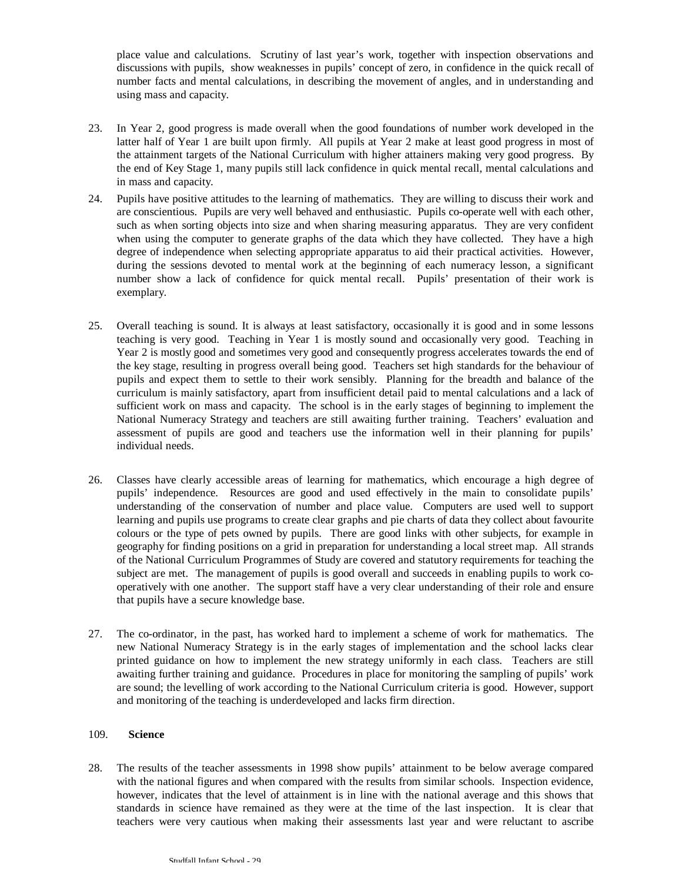place value and calculations. Scrutiny of last year's work, together with inspection observations and discussions with pupils, show weaknesses in pupils' concept of zero, in confidence in the quick recall of number facts and mental calculations, in describing the movement of angles, and in understanding and using mass and capacity.

- 23. In Year 2, good progress is made overall when the good foundations of number work developed in the latter half of Year 1 are built upon firmly. All pupils at Year 2 make at least good progress in most of the attainment targets of the National Curriculum with higher attainers making very good progress. By the end of Key Stage 1, many pupils still lack confidence in quick mental recall, mental calculations and in mass and capacity.
- 24. Pupils have positive attitudes to the learning of mathematics. They are willing to discuss their work and are conscientious. Pupils are very well behaved and enthusiastic. Pupils co-operate well with each other, such as when sorting objects into size and when sharing measuring apparatus. They are very confident when using the computer to generate graphs of the data which they have collected. They have a high degree of independence when selecting appropriate apparatus to aid their practical activities. However, during the sessions devoted to mental work at the beginning of each numeracy lesson, a significant number show a lack of confidence for quick mental recall. Pupils' presentation of their work is exemplary.
- 25. Overall teaching is sound. It is always at least satisfactory, occasionally it is good and in some lessons teaching is very good. Teaching in Year 1 is mostly sound and occasionally very good. Teaching in Year 2 is mostly good and sometimes very good and consequently progress accelerates towards the end of the key stage, resulting in progress overall being good. Teachers set high standards for the behaviour of pupils and expect them to settle to their work sensibly. Planning for the breadth and balance of the curriculum is mainly satisfactory, apart from insufficient detail paid to mental calculations and a lack of sufficient work on mass and capacity. The school is in the early stages of beginning to implement the National Numeracy Strategy and teachers are still awaiting further training. Teachers' evaluation and assessment of pupils are good and teachers use the information well in their planning for pupils' individual needs.
- 26. Classes have clearly accessible areas of learning for mathematics, which encourage a high degree of pupils' independence. Resources are good and used effectively in the main to consolidate pupils' understanding of the conservation of number and place value. Computers are used well to support learning and pupils use programs to create clear graphs and pie charts of data they collect about favourite colours or the type of pets owned by pupils. There are good links with other subjects, for example in geography for finding positions on a grid in preparation for understanding a local street map. All strands of the National Curriculum Programmes of Study are covered and statutory requirements for teaching the subject are met. The management of pupils is good overall and succeeds in enabling pupils to work cooperatively with one another. The support staff have a very clear understanding of their role and ensure that pupils have a secure knowledge base.
- 27. The co-ordinator, in the past, has worked hard to implement a scheme of work for mathematics. The new National Numeracy Strategy is in the early stages of implementation and the school lacks clear printed guidance on how to implement the new strategy uniformly in each class. Teachers are still awaiting further training and guidance. Procedures in place for monitoring the sampling of pupils' work are sound; the levelling of work according to the National Curriculum criteria is good. However, support and monitoring of the teaching is underdeveloped and lacks firm direction.

### 109. **Science**

28. The results of the teacher assessments in 1998 show pupils' attainment to be below average compared with the national figures and when compared with the results from similar schools. Inspection evidence, however, indicates that the level of attainment is in line with the national average and this shows that standards in science have remained as they were at the time of the last inspection. It is clear that teachers were very cautious when making their assessments last year and were reluctant to ascribe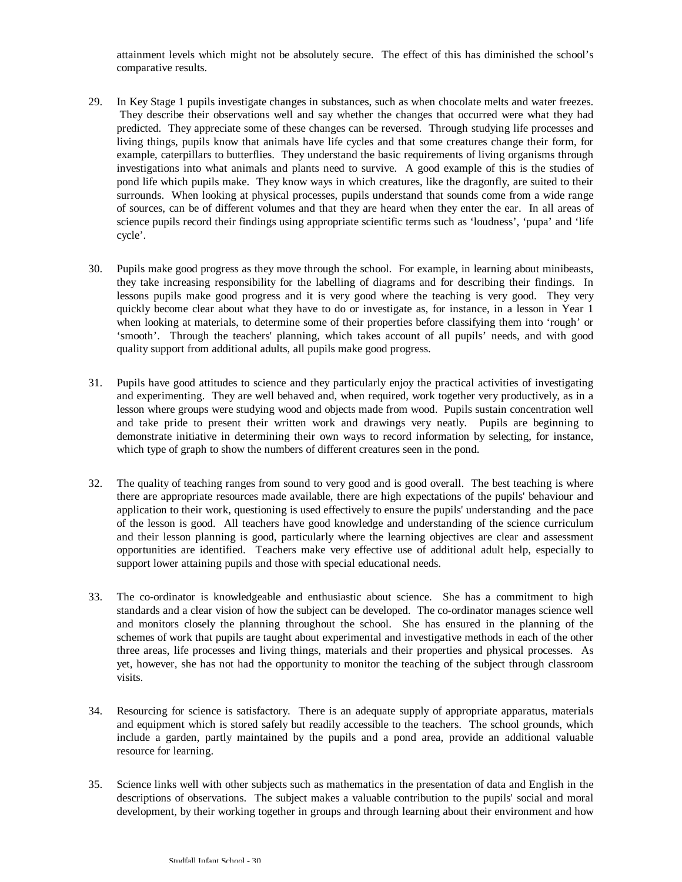attainment levels which might not be absolutely secure. The effect of this has diminished the school's comparative results.

- 29. In Key Stage 1 pupils investigate changes in substances, such as when chocolate melts and water freezes. They describe their observations well and say whether the changes that occurred were what they had predicted. They appreciate some of these changes can be reversed. Through studying life processes and living things, pupils know that animals have life cycles and that some creatures change their form, for example, caterpillars to butterflies. They understand the basic requirements of living organisms through investigations into what animals and plants need to survive. A good example of this is the studies of pond life which pupils make. They know ways in which creatures, like the dragonfly, are suited to their surrounds. When looking at physical processes, pupils understand that sounds come from a wide range of sources, can be of different volumes and that they are heard when they enter the ear. In all areas of science pupils record their findings using appropriate scientific terms such as 'loudness', 'pupa' and 'life cycle'.
- 30. Pupils make good progress as they move through the school. For example, in learning about minibeasts, they take increasing responsibility for the labelling of diagrams and for describing their findings. In lessons pupils make good progress and it is very good where the teaching is very good. They very quickly become clear about what they have to do or investigate as, for instance, in a lesson in Year 1 when looking at materials, to determine some of their properties before classifying them into 'rough' or 'smooth'. Through the teachers' planning, which takes account of all pupils' needs, and with good quality support from additional adults, all pupils make good progress.
- 31. Pupils have good attitudes to science and they particularly enjoy the practical activities of investigating and experimenting. They are well behaved and, when required, work together very productively, as in a lesson where groups were studying wood and objects made from wood. Pupils sustain concentration well and take pride to present their written work and drawings very neatly. Pupils are beginning to demonstrate initiative in determining their own ways to record information by selecting, for instance, which type of graph to show the numbers of different creatures seen in the pond.
- 32. The quality of teaching ranges from sound to very good and is good overall. The best teaching is where there are appropriate resources made available, there are high expectations of the pupils' behaviour and application to their work, questioning is used effectively to ensure the pupils' understanding and the pace of the lesson is good. All teachers have good knowledge and understanding of the science curriculum and their lesson planning is good, particularly where the learning objectives are clear and assessment opportunities are identified. Teachers make very effective use of additional adult help, especially to support lower attaining pupils and those with special educational needs.
- 33. The co-ordinator is knowledgeable and enthusiastic about science. She has a commitment to high standards and a clear vision of how the subject can be developed. The co-ordinator manages science well and monitors closely the planning throughout the school. She has ensured in the planning of the schemes of work that pupils are taught about experimental and investigative methods in each of the other three areas, life processes and living things, materials and their properties and physical processes. As yet, however, she has not had the opportunity to monitor the teaching of the subject through classroom visits.
- 34. Resourcing for science is satisfactory. There is an adequate supply of appropriate apparatus, materials and equipment which is stored safely but readily accessible to the teachers. The school grounds, which include a garden, partly maintained by the pupils and a pond area, provide an additional valuable resource for learning.
- 35. Science links well with other subjects such as mathematics in the presentation of data and English in the descriptions of observations. The subject makes a valuable contribution to the pupils' social and moral development, by their working together in groups and through learning about their environment and how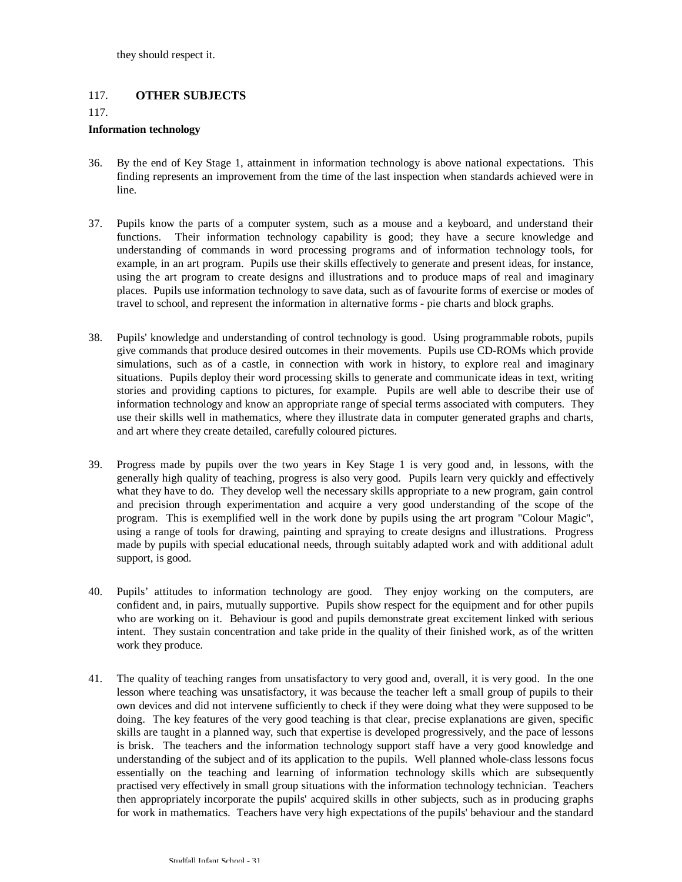## 117. **OTHER SUBJECTS**

117.

#### **Information technology**

- 36. By the end of Key Stage 1, attainment in information technology is above national expectations. This finding represents an improvement from the time of the last inspection when standards achieved were in line.
- 37. Pupils know the parts of a computer system, such as a mouse and a keyboard, and understand their functions. Their information technology capability is good; they have a secure knowledge and understanding of commands in word processing programs and of information technology tools, for example, in an art program. Pupils use their skills effectively to generate and present ideas, for instance, using the art program to create designs and illustrations and to produce maps of real and imaginary places. Pupils use information technology to save data, such as of favourite forms of exercise or modes of travel to school, and represent the information in alternative forms - pie charts and block graphs.
- 38. Pupils' knowledge and understanding of control technology is good. Using programmable robots, pupils give commands that produce desired outcomes in their movements. Pupils use CD-ROMs which provide simulations, such as of a castle, in connection with work in history, to explore real and imaginary situations. Pupils deploy their word processing skills to generate and communicate ideas in text, writing stories and providing captions to pictures, for example. Pupils are well able to describe their use of information technology and know an appropriate range of special terms associated with computers. They use their skills well in mathematics, where they illustrate data in computer generated graphs and charts, and art where they create detailed, carefully coloured pictures.
- 39. Progress made by pupils over the two years in Key Stage 1 is very good and, in lessons, with the generally high quality of teaching, progress is also very good. Pupils learn very quickly and effectively what they have to do. They develop well the necessary skills appropriate to a new program, gain control and precision through experimentation and acquire a very good understanding of the scope of the program. This is exemplified well in the work done by pupils using the art program "Colour Magic", using a range of tools for drawing, painting and spraying to create designs and illustrations. Progress made by pupils with special educational needs, through suitably adapted work and with additional adult support, is good.
- 40. Pupils' attitudes to information technology are good. They enjoy working on the computers, are confident and, in pairs, mutually supportive. Pupils show respect for the equipment and for other pupils who are working on it. Behaviour is good and pupils demonstrate great excitement linked with serious intent. They sustain concentration and take pride in the quality of their finished work, as of the written work they produce.
- 41. The quality of teaching ranges from unsatisfactory to very good and, overall, it is very good. In the one lesson where teaching was unsatisfactory, it was because the teacher left a small group of pupils to their own devices and did not intervene sufficiently to check if they were doing what they were supposed to be doing. The key features of the very good teaching is that clear, precise explanations are given, specific skills are taught in a planned way, such that expertise is developed progressively, and the pace of lessons is brisk. The teachers and the information technology support staff have a very good knowledge and understanding of the subject and of its application to the pupils. Well planned whole-class lessons focus essentially on the teaching and learning of information technology skills which are subsequently practised very effectively in small group situations with the information technology technician. Teachers then appropriately incorporate the pupils' acquired skills in other subjects, such as in producing graphs for work in mathematics. Teachers have very high expectations of the pupils' behaviour and the standard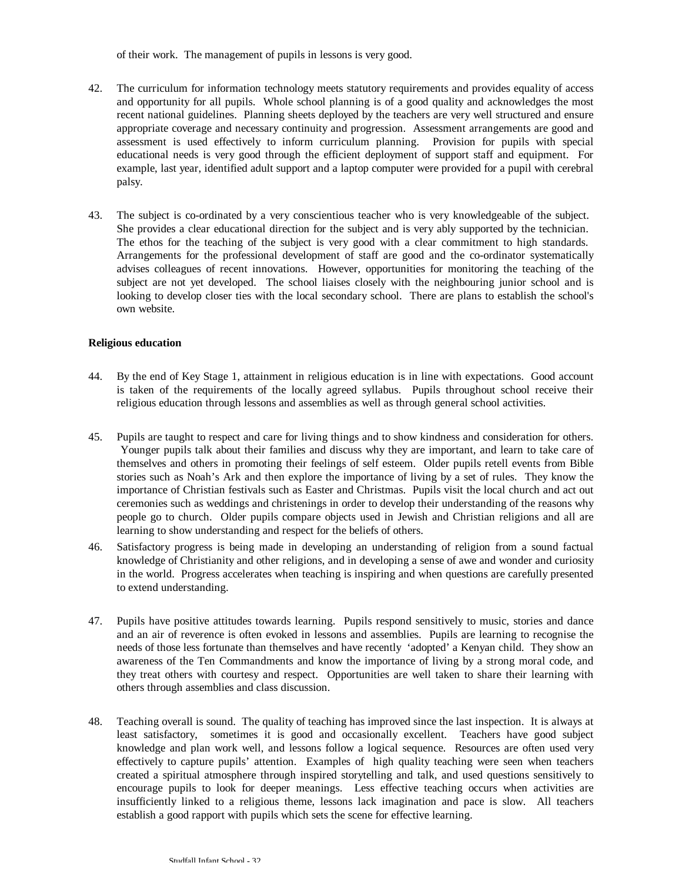of their work. The management of pupils in lessons is very good.

- 42. The curriculum for information technology meets statutory requirements and provides equality of access and opportunity for all pupils. Whole school planning is of a good quality and acknowledges the most recent national guidelines. Planning sheets deployed by the teachers are very well structured and ensure appropriate coverage and necessary continuity and progression. Assessment arrangements are good and assessment is used effectively to inform curriculum planning. Provision for pupils with special educational needs is very good through the efficient deployment of support staff and equipment. For example, last year, identified adult support and a laptop computer were provided for a pupil with cerebral palsy.
- 43. The subject is co-ordinated by a very conscientious teacher who is very knowledgeable of the subject. She provides a clear educational direction for the subject and is very ably supported by the technician. The ethos for the teaching of the subject is very good with a clear commitment to high standards. Arrangements for the professional development of staff are good and the co-ordinator systematically advises colleagues of recent innovations. However, opportunities for monitoring the teaching of the subject are not yet developed. The school liaises closely with the neighbouring junior school and is looking to develop closer ties with the local secondary school. There are plans to establish the school's own website.

### **Religious education**

- 44. By the end of Key Stage 1, attainment in religious education is in line with expectations. Good account is taken of the requirements of the locally agreed syllabus. Pupils throughout school receive their religious education through lessons and assemblies as well as through general school activities.
- 45. Pupils are taught to respect and care for living things and to show kindness and consideration for others. Younger pupils talk about their families and discuss why they are important, and learn to take care of themselves and others in promoting their feelings of self esteem. Older pupils retell events from Bible stories such as Noah's Ark and then explore the importance of living by a set of rules. They know the importance of Christian festivals such as Easter and Christmas. Pupils visit the local church and act out ceremonies such as weddings and christenings in order to develop their understanding of the reasons why people go to church. Older pupils compare objects used in Jewish and Christian religions and all are learning to show understanding and respect for the beliefs of others.
- 46. Satisfactory progress is being made in developing an understanding of religion from a sound factual knowledge of Christianity and other religions, and in developing a sense of awe and wonder and curiosity in the world. Progress accelerates when teaching is inspiring and when questions are carefully presented to extend understanding.
- 47. Pupils have positive attitudes towards learning. Pupils respond sensitively to music, stories and dance and an air of reverence is often evoked in lessons and assemblies. Pupils are learning to recognise the needs of those less fortunate than themselves and have recently 'adopted' a Kenyan child. They show an awareness of the Ten Commandments and know the importance of living by a strong moral code, and they treat others with courtesy and respect. Opportunities are well taken to share their learning with others through assemblies and class discussion.
- 48. Teaching overall is sound. The quality of teaching has improved since the last inspection. It is always at least satisfactory, sometimes it is good and occasionally excellent. Teachers have good subject knowledge and plan work well, and lessons follow a logical sequence. Resources are often used very effectively to capture pupils' attention. Examples of high quality teaching were seen when teachers created a spiritual atmosphere through inspired storytelling and talk, and used questions sensitively to encourage pupils to look for deeper meanings. Less effective teaching occurs when activities are insufficiently linked to a religious theme, lessons lack imagination and pace is slow. All teachers establish a good rapport with pupils which sets the scene for effective learning.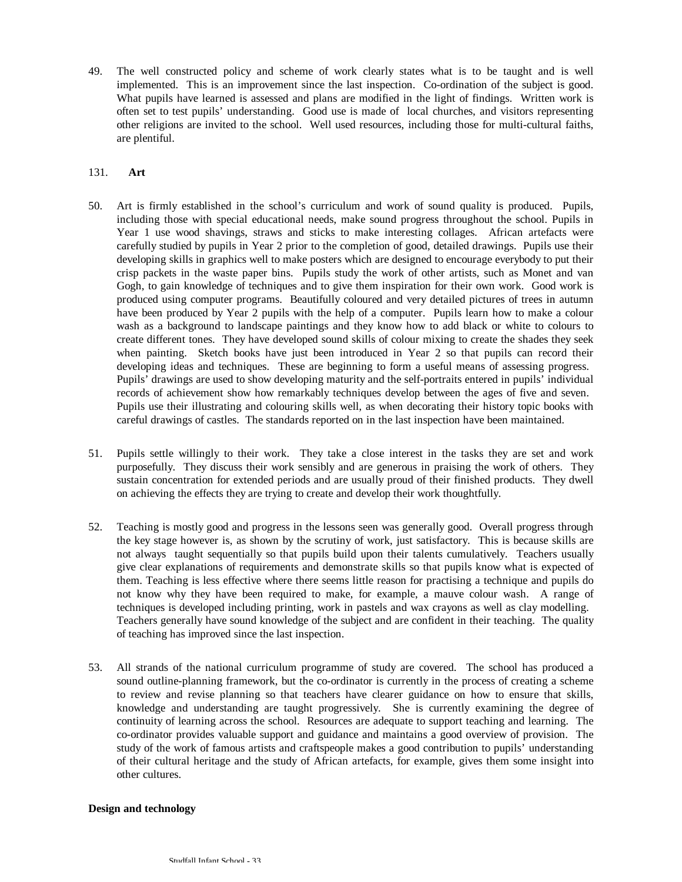49. The well constructed policy and scheme of work clearly states what is to be taught and is well implemented. This is an improvement since the last inspection. Co-ordination of the subject is good. What pupils have learned is assessed and plans are modified in the light of findings. Written work is often set to test pupils' understanding. Good use is made of local churches, and visitors representing other religions are invited to the school. Well used resources, including those for multi-cultural faiths, are plentiful.

### 131. **Art**

- 50. Art is firmly established in the school's curriculum and work of sound quality is produced. Pupils, including those with special educational needs, make sound progress throughout the school. Pupils in Year 1 use wood shavings, straws and sticks to make interesting collages. African artefacts were carefully studied by pupils in Year 2 prior to the completion of good, detailed drawings. Pupils use their developing skills in graphics well to make posters which are designed to encourage everybody to put their crisp packets in the waste paper bins. Pupils study the work of other artists, such as Monet and van Gogh, to gain knowledge of techniques and to give them inspiration for their own work. Good work is produced using computer programs. Beautifully coloured and very detailed pictures of trees in autumn have been produced by Year 2 pupils with the help of a computer. Pupils learn how to make a colour wash as a background to landscape paintings and they know how to add black or white to colours to create different tones. They have developed sound skills of colour mixing to create the shades they seek when painting. Sketch books have just been introduced in Year 2 so that pupils can record their developing ideas and techniques. These are beginning to form a useful means of assessing progress. Pupils' drawings are used to show developing maturity and the self-portraits entered in pupils' individual records of achievement show how remarkably techniques develop between the ages of five and seven. Pupils use their illustrating and colouring skills well, as when decorating their history topic books with careful drawings of castles. The standards reported on in the last inspection have been maintained.
- 51. Pupils settle willingly to their work. They take a close interest in the tasks they are set and work purposefully. They discuss their work sensibly and are generous in praising the work of others. They sustain concentration for extended periods and are usually proud of their finished products. They dwell on achieving the effects they are trying to create and develop their work thoughtfully.
- 52. Teaching is mostly good and progress in the lessons seen was generally good. Overall progress through the key stage however is, as shown by the scrutiny of work, just satisfactory. This is because skills are not always taught sequentially so that pupils build upon their talents cumulatively. Teachers usually give clear explanations of requirements and demonstrate skills so that pupils know what is expected of them. Teaching is less effective where there seems little reason for practising a technique and pupils do not know why they have been required to make, for example, a mauve colour wash. A range of techniques is developed including printing, work in pastels and wax crayons as well as clay modelling. Teachers generally have sound knowledge of the subject and are confident in their teaching. The quality of teaching has improved since the last inspection.
- 53. All strands of the national curriculum programme of study are covered. The school has produced a sound outline-planning framework, but the co-ordinator is currently in the process of creating a scheme to review and revise planning so that teachers have clearer guidance on how to ensure that skills, knowledge and understanding are taught progressively. She is currently examining the degree of continuity of learning across the school. Resources are adequate to support teaching and learning. The co-ordinator provides valuable support and guidance and maintains a good overview of provision. The study of the work of famous artists and craftspeople makes a good contribution to pupils' understanding of their cultural heritage and the study of African artefacts, for example, gives them some insight into other cultures.

#### **Design and technology**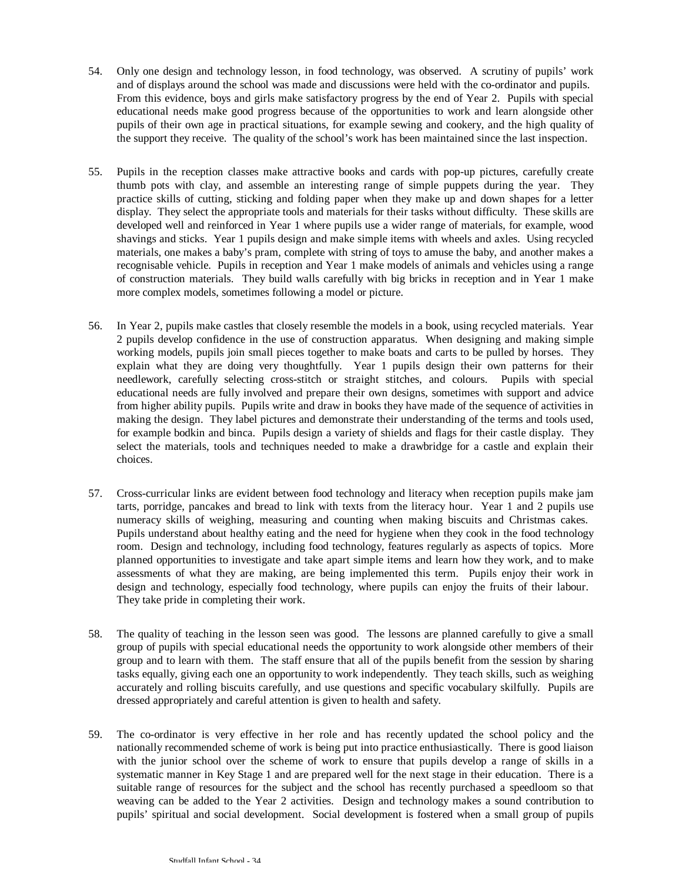- 54. Only one design and technology lesson, in food technology, was observed. A scrutiny of pupils' work and of displays around the school was made and discussions were held with the co-ordinator and pupils. From this evidence, boys and girls make satisfactory progress by the end of Year 2. Pupils with special educational needs make good progress because of the opportunities to work and learn alongside other pupils of their own age in practical situations, for example sewing and cookery, and the high quality of the support they receive. The quality of the school's work has been maintained since the last inspection.
- 55. Pupils in the reception classes make attractive books and cards with pop-up pictures, carefully create thumb pots with clay, and assemble an interesting range of simple puppets during the year. They practice skills of cutting, sticking and folding paper when they make up and down shapes for a letter display. They select the appropriate tools and materials for their tasks without difficulty. These skills are developed well and reinforced in Year 1 where pupils use a wider range of materials, for example, wood shavings and sticks. Year 1 pupils design and make simple items with wheels and axles. Using recycled materials, one makes a baby's pram, complete with string of toys to amuse the baby, and another makes a recognisable vehicle. Pupils in reception and Year 1 make models of animals and vehicles using a range of construction materials. They build walls carefully with big bricks in reception and in Year 1 make more complex models, sometimes following a model or picture.
- 56. In Year 2, pupils make castles that closely resemble the models in a book, using recycled materials. Year 2 pupils develop confidence in the use of construction apparatus. When designing and making simple working models, pupils join small pieces together to make boats and carts to be pulled by horses. They explain what they are doing very thoughtfully. Year 1 pupils design their own patterns for their needlework, carefully selecting cross-stitch or straight stitches, and colours. Pupils with special educational needs are fully involved and prepare their own designs, sometimes with support and advice from higher ability pupils. Pupils write and draw in books they have made of the sequence of activities in making the design. They label pictures and demonstrate their understanding of the terms and tools used, for example bodkin and binca. Pupils design a variety of shields and flags for their castle display. They select the materials, tools and techniques needed to make a drawbridge for a castle and explain their choices.
- 57. Cross-curricular links are evident between food technology and literacy when reception pupils make jam tarts, porridge, pancakes and bread to link with texts from the literacy hour. Year 1 and 2 pupils use numeracy skills of weighing, measuring and counting when making biscuits and Christmas cakes. Pupils understand about healthy eating and the need for hygiene when they cook in the food technology room. Design and technology, including food technology, features regularly as aspects of topics. More planned opportunities to investigate and take apart simple items and learn how they work, and to make assessments of what they are making, are being implemented this term. Pupils enjoy their work in design and technology, especially food technology, where pupils can enjoy the fruits of their labour. They take pride in completing their work.
- 58. The quality of teaching in the lesson seen was good. The lessons are planned carefully to give a small group of pupils with special educational needs the opportunity to work alongside other members of their group and to learn with them. The staff ensure that all of the pupils benefit from the session by sharing tasks equally, giving each one an opportunity to work independently. They teach skills, such as weighing accurately and rolling biscuits carefully, and use questions and specific vocabulary skilfully. Pupils are dressed appropriately and careful attention is given to health and safety.
- 59. The co-ordinator is very effective in her role and has recently updated the school policy and the nationally recommended scheme of work is being put into practice enthusiastically. There is good liaison with the junior school over the scheme of work to ensure that pupils develop a range of skills in a systematic manner in Key Stage 1 and are prepared well for the next stage in their education. There is a suitable range of resources for the subject and the school has recently purchased a speedloom so that weaving can be added to the Year 2 activities. Design and technology makes a sound contribution to pupils' spiritual and social development. Social development is fostered when a small group of pupils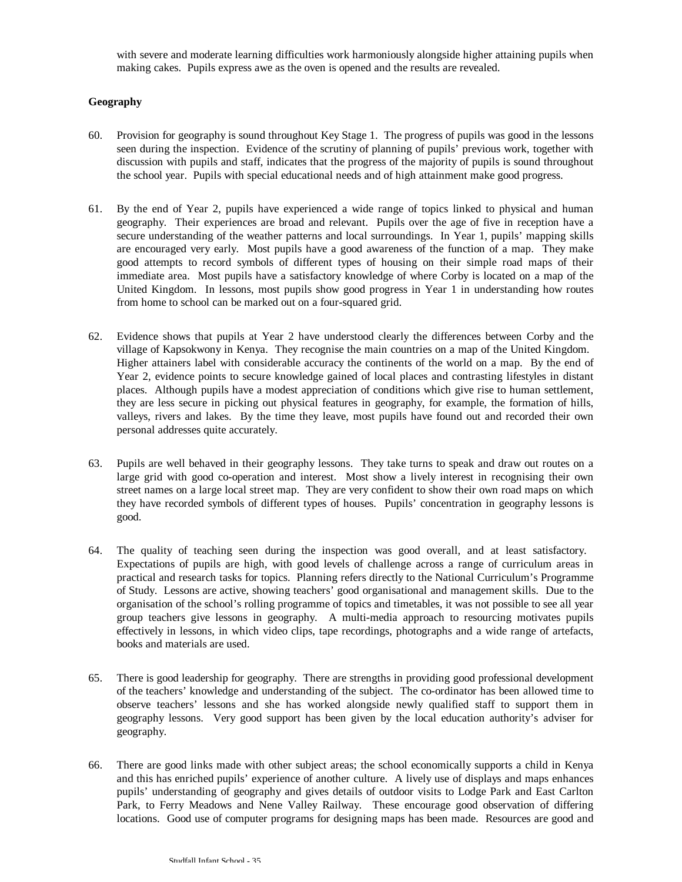with severe and moderate learning difficulties work harmoniously alongside higher attaining pupils when making cakes. Pupils express awe as the oven is opened and the results are revealed.

## **Geography**

- 60. Provision for geography is sound throughout Key Stage 1. The progress of pupils was good in the lessons seen during the inspection. Evidence of the scrutiny of planning of pupils' previous work, together with discussion with pupils and staff, indicates that the progress of the majority of pupils is sound throughout the school year. Pupils with special educational needs and of high attainment make good progress.
- 61. By the end of Year 2, pupils have experienced a wide range of topics linked to physical and human geography. Their experiences are broad and relevant. Pupils over the age of five in reception have a secure understanding of the weather patterns and local surroundings. In Year 1, pupils' mapping skills are encouraged very early. Most pupils have a good awareness of the function of a map. They make good attempts to record symbols of different types of housing on their simple road maps of their immediate area. Most pupils have a satisfactory knowledge of where Corby is located on a map of the United Kingdom. In lessons, most pupils show good progress in Year 1 in understanding how routes from home to school can be marked out on a four-squared grid.
- 62. Evidence shows that pupils at Year 2 have understood clearly the differences between Corby and the village of Kapsokwony in Kenya. They recognise the main countries on a map of the United Kingdom. Higher attainers label with considerable accuracy the continents of the world on a map. By the end of Year 2, evidence points to secure knowledge gained of local places and contrasting lifestyles in distant places. Although pupils have a modest appreciation of conditions which give rise to human settlement, they are less secure in picking out physical features in geography, for example, the formation of hills, valleys, rivers and lakes. By the time they leave, most pupils have found out and recorded their own personal addresses quite accurately.
- 63. Pupils are well behaved in their geography lessons. They take turns to speak and draw out routes on a large grid with good co-operation and interest. Most show a lively interest in recognising their own street names on a large local street map. They are very confident to show their own road maps on which they have recorded symbols of different types of houses. Pupils' concentration in geography lessons is good.
- 64. The quality of teaching seen during the inspection was good overall, and at least satisfactory. Expectations of pupils are high, with good levels of challenge across a range of curriculum areas in practical and research tasks for topics. Planning refers directly to the National Curriculum's Programme of Study. Lessons are active, showing teachers' good organisational and management skills. Due to the organisation of the school's rolling programme of topics and timetables, it was not possible to see all year group teachers give lessons in geography. A multi-media approach to resourcing motivates pupils effectively in lessons, in which video clips, tape recordings, photographs and a wide range of artefacts, books and materials are used.
- 65. There is good leadership for geography. There are strengths in providing good professional development of the teachers' knowledge and understanding of the subject. The co-ordinator has been allowed time to observe teachers' lessons and she has worked alongside newly qualified staff to support them in geography lessons. Very good support has been given by the local education authority's adviser for geography.
- 66. There are good links made with other subject areas; the school economically supports a child in Kenya and this has enriched pupils' experience of another culture. A lively use of displays and maps enhances pupils' understanding of geography and gives details of outdoor visits to Lodge Park and East Carlton Park, to Ferry Meadows and Nene Valley Railway. These encourage good observation of differing locations. Good use of computer programs for designing maps has been made. Resources are good and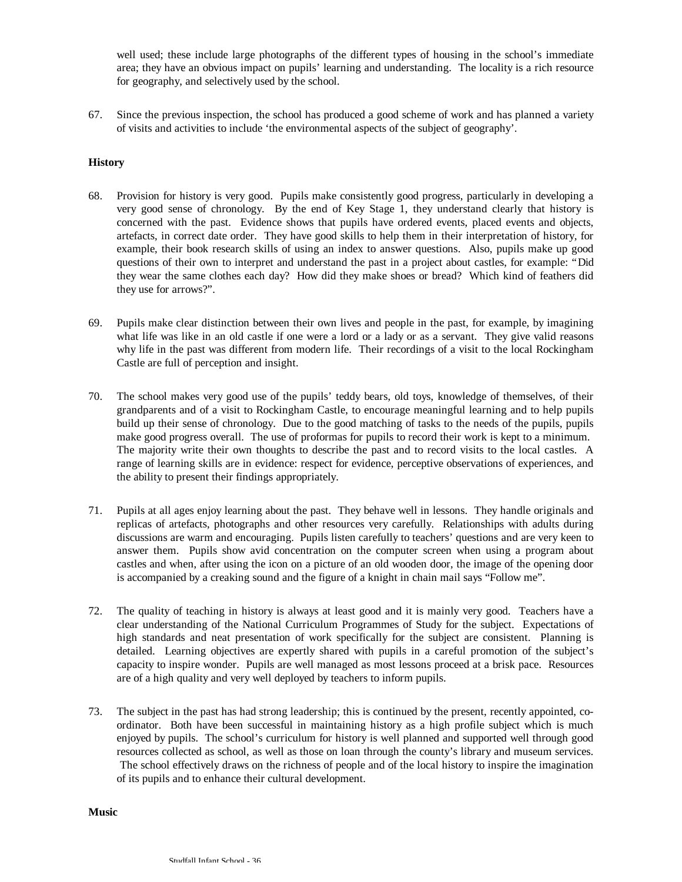well used; these include large photographs of the different types of housing in the school's immediate area; they have an obvious impact on pupils' learning and understanding. The locality is a rich resource for geography, and selectively used by the school.

67. Since the previous inspection, the school has produced a good scheme of work and has planned a variety of visits and activities to include 'the environmental aspects of the subject of geography'.

### **History**

- 68. Provision for history is very good. Pupils make consistently good progress, particularly in developing a very good sense of chronology. By the end of Key Stage 1, they understand clearly that history is concerned with the past. Evidence shows that pupils have ordered events, placed events and objects, artefacts, in correct date order. They have good skills to help them in their interpretation of history, for example, their book research skills of using an index to answer questions. Also, pupils make up good questions of their own to interpret and understand the past in a project about castles, for example: "Did they wear the same clothes each day? How did they make shoes or bread? Which kind of feathers did they use for arrows?".
- 69. Pupils make clear distinction between their own lives and people in the past, for example, by imagining what life was like in an old castle if one were a lord or a lady or as a servant. They give valid reasons why life in the past was different from modern life. Their recordings of a visit to the local Rockingham Castle are full of perception and insight.
- 70. The school makes very good use of the pupils' teddy bears, old toys, knowledge of themselves, of their grandparents and of a visit to Rockingham Castle, to encourage meaningful learning and to help pupils build up their sense of chronology. Due to the good matching of tasks to the needs of the pupils, pupils make good progress overall. The use of proformas for pupils to record their work is kept to a minimum. The majority write their own thoughts to describe the past and to record visits to the local castles. A range of learning skills are in evidence: respect for evidence, perceptive observations of experiences, and the ability to present their findings appropriately.
- 71. Pupils at all ages enjoy learning about the past. They behave well in lessons. They handle originals and replicas of artefacts, photographs and other resources very carefully. Relationships with adults during discussions are warm and encouraging. Pupils listen carefully to teachers' questions and are very keen to answer them. Pupils show avid concentration on the computer screen when using a program about castles and when, after using the icon on a picture of an old wooden door, the image of the opening door is accompanied by a creaking sound and the figure of a knight in chain mail says "Follow me".
- 72. The quality of teaching in history is always at least good and it is mainly very good. Teachers have a clear understanding of the National Curriculum Programmes of Study for the subject. Expectations of high standards and neat presentation of work specifically for the subject are consistent. Planning is detailed. Learning objectives are expertly shared with pupils in a careful promotion of the subject's capacity to inspire wonder. Pupils are well managed as most lessons proceed at a brisk pace. Resources are of a high quality and very well deployed by teachers to inform pupils.
- 73. The subject in the past has had strong leadership; this is continued by the present, recently appointed, coordinator. Both have been successful in maintaining history as a high profile subject which is much enjoyed by pupils. The school's curriculum for history is well planned and supported well through good resources collected as school, as well as those on loan through the county's library and museum services. The school effectively draws on the richness of people and of the local history to inspire the imagination of its pupils and to enhance their cultural development.

**Music**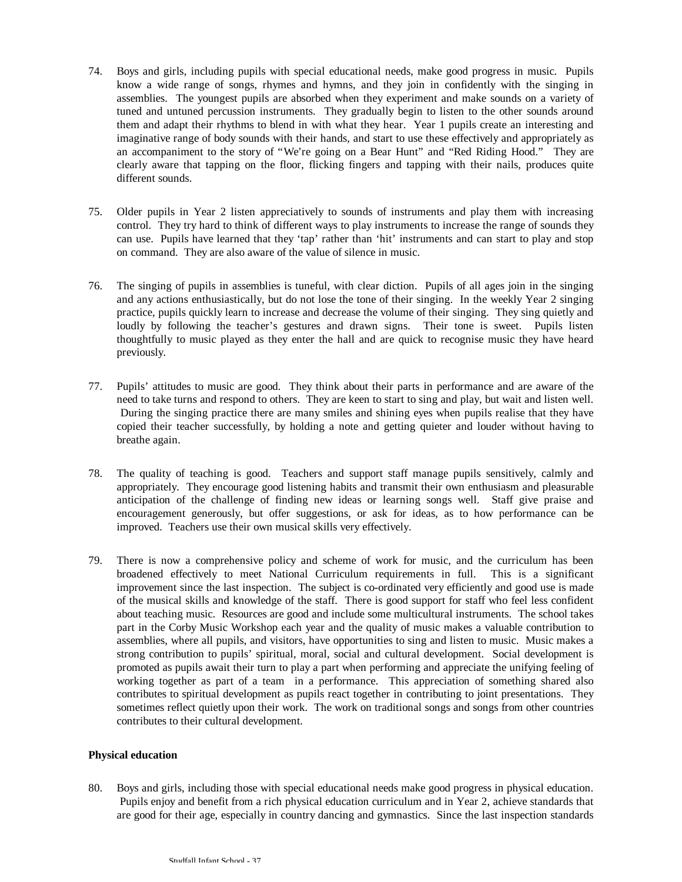- 74. Boys and girls, including pupils with special educational needs, make good progress in music. Pupils know a wide range of songs, rhymes and hymns, and they join in confidently with the singing in assemblies. The youngest pupils are absorbed when they experiment and make sounds on a variety of tuned and untuned percussion instruments. They gradually begin to listen to the other sounds around them and adapt their rhythms to blend in with what they hear. Year 1 pupils create an interesting and imaginative range of body sounds with their hands, and start to use these effectively and appropriately as an accompaniment to the story of "We're going on a Bear Hunt" and "Red Riding Hood." They are clearly aware that tapping on the floor, flicking fingers and tapping with their nails, produces quite different sounds.
- 75. Older pupils in Year 2 listen appreciatively to sounds of instruments and play them with increasing control. They try hard to think of different ways to play instruments to increase the range of sounds they can use. Pupils have learned that they 'tap' rather than 'hit' instruments and can start to play and stop on command. They are also aware of the value of silence in music.
- 76. The singing of pupils in assemblies is tuneful, with clear diction. Pupils of all ages join in the singing and any actions enthusiastically, but do not lose the tone of their singing. In the weekly Year 2 singing practice, pupils quickly learn to increase and decrease the volume of their singing. They sing quietly and loudly by following the teacher's gestures and drawn signs. Their tone is sweet. Pupils listen thoughtfully to music played as they enter the hall and are quick to recognise music they have heard previously.
- 77. Pupils' attitudes to music are good. They think about their parts in performance and are aware of the need to take turns and respond to others. They are keen to start to sing and play, but wait and listen well. During the singing practice there are many smiles and shining eyes when pupils realise that they have copied their teacher successfully, by holding a note and getting quieter and louder without having to breathe again.
- 78. The quality of teaching is good. Teachers and support staff manage pupils sensitively, calmly and appropriately. They encourage good listening habits and transmit their own enthusiasm and pleasurable anticipation of the challenge of finding new ideas or learning songs well. Staff give praise and encouragement generously, but offer suggestions, or ask for ideas, as to how performance can be improved. Teachers use their own musical skills very effectively.
- 79. There is now a comprehensive policy and scheme of work for music, and the curriculum has been broadened effectively to meet National Curriculum requirements in full. This is a significant improvement since the last inspection. The subject is co-ordinated very efficiently and good use is made of the musical skills and knowledge of the staff. There is good support for staff who feel less confident about teaching music. Resources are good and include some multicultural instruments. The school takes part in the Corby Music Workshop each year and the quality of music makes a valuable contribution to assemblies, where all pupils, and visitors, have opportunities to sing and listen to music. Music makes a strong contribution to pupils' spiritual, moral, social and cultural development. Social development is promoted as pupils await their turn to play a part when performing and appreciate the unifying feeling of working together as part of a team in a performance. This appreciation of something shared also contributes to spiritual development as pupils react together in contributing to joint presentations. They sometimes reflect quietly upon their work. The work on traditional songs and songs from other countries contributes to their cultural development.

#### **Physical education**

80. Boys and girls, including those with special educational needs make good progress in physical education. Pupils enjoy and benefit from a rich physical education curriculum and in Year 2, achieve standards that are good for their age, especially in country dancing and gymnastics. Since the last inspection standards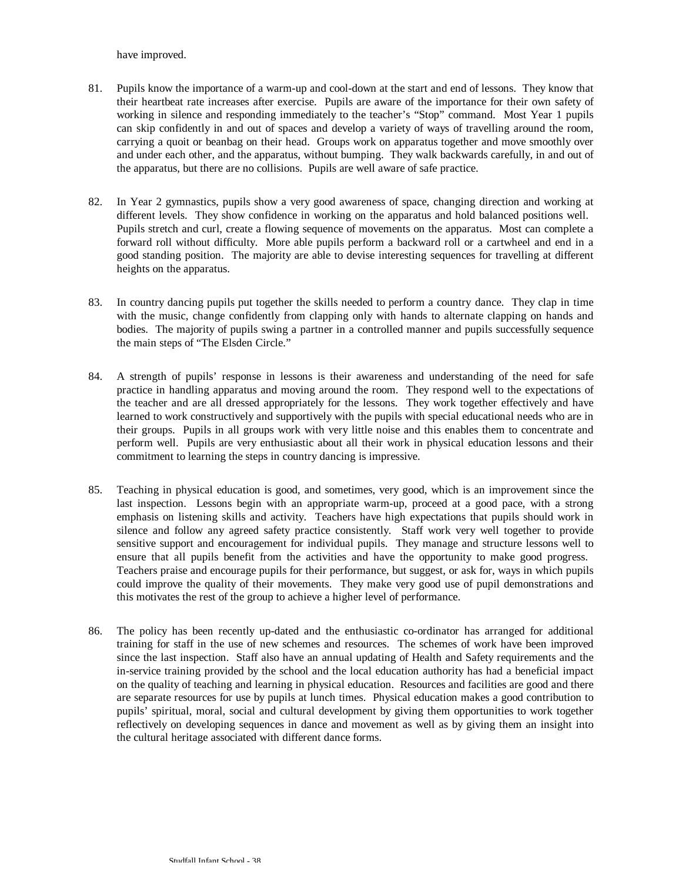have improved.

- 81. Pupils know the importance of a warm-up and cool-down at the start and end of lessons. They know that their heartbeat rate increases after exercise. Pupils are aware of the importance for their own safety of working in silence and responding immediately to the teacher's "Stop" command. Most Year 1 pupils can skip confidently in and out of spaces and develop a variety of ways of travelling around the room, carrying a quoit or beanbag on their head. Groups work on apparatus together and move smoothly over and under each other, and the apparatus, without bumping. They walk backwards carefully, in and out of the apparatus, but there are no collisions. Pupils are well aware of safe practice.
- 82. In Year 2 gymnastics, pupils show a very good awareness of space, changing direction and working at different levels. They show confidence in working on the apparatus and hold balanced positions well. Pupils stretch and curl, create a flowing sequence of movements on the apparatus. Most can complete a forward roll without difficulty. More able pupils perform a backward roll or a cartwheel and end in a good standing position. The majority are able to devise interesting sequences for travelling at different heights on the apparatus.
- 83. In country dancing pupils put together the skills needed to perform a country dance. They clap in time with the music, change confidently from clapping only with hands to alternate clapping on hands and bodies. The majority of pupils swing a partner in a controlled manner and pupils successfully sequence the main steps of "The Elsden Circle."
- 84. A strength of pupils' response in lessons is their awareness and understanding of the need for safe practice in handling apparatus and moving around the room. They respond well to the expectations of the teacher and are all dressed appropriately for the lessons. They work together effectively and have learned to work constructively and supportively with the pupils with special educational needs who are in their groups. Pupils in all groups work with very little noise and this enables them to concentrate and perform well. Pupils are very enthusiastic about all their work in physical education lessons and their commitment to learning the steps in country dancing is impressive.
- 85. Teaching in physical education is good, and sometimes, very good, which is an improvement since the last inspection. Lessons begin with an appropriate warm-up, proceed at a good pace, with a strong emphasis on listening skills and activity. Teachers have high expectations that pupils should work in silence and follow any agreed safety practice consistently. Staff work very well together to provide sensitive support and encouragement for individual pupils. They manage and structure lessons well to ensure that all pupils benefit from the activities and have the opportunity to make good progress. Teachers praise and encourage pupils for their performance, but suggest, or ask for, ways in which pupils could improve the quality of their movements. They make very good use of pupil demonstrations and this motivates the rest of the group to achieve a higher level of performance.
- 86. The policy has been recently up-dated and the enthusiastic co-ordinator has arranged for additional training for staff in the use of new schemes and resources. The schemes of work have been improved since the last inspection. Staff also have an annual updating of Health and Safety requirements and the in-service training provided by the school and the local education authority has had a beneficial impact on the quality of teaching and learning in physical education. Resources and facilities are good and there are separate resources for use by pupils at lunch times. Physical education makes a good contribution to pupils' spiritual, moral, social and cultural development by giving them opportunities to work together reflectively on developing sequences in dance and movement as well as by giving them an insight into the cultural heritage associated with different dance forms.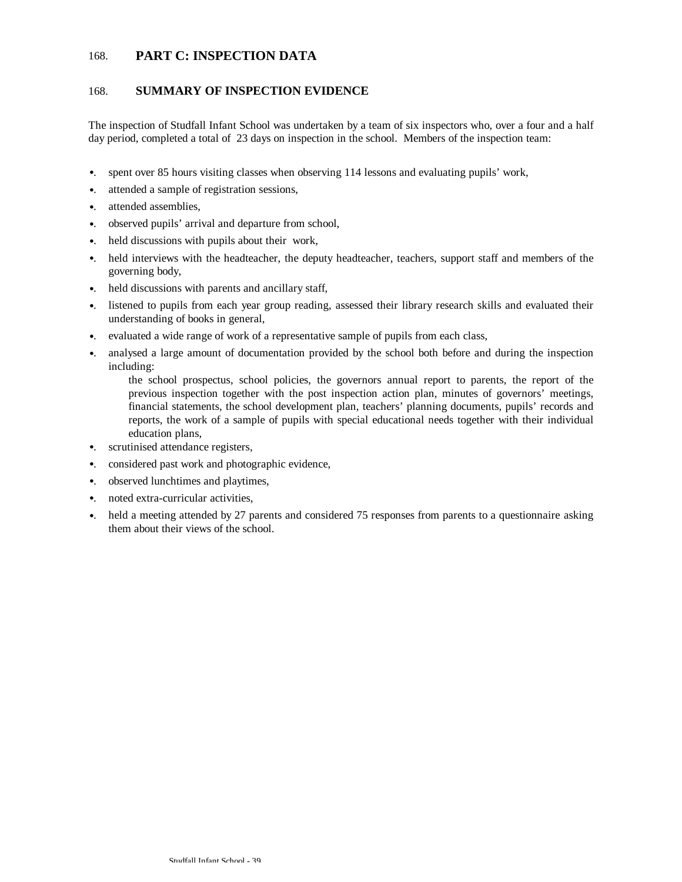## 168. **PART C: INSPECTION DATA**

## 168. **SUMMARY OF INSPECTION EVIDENCE**

The inspection of Studfall Infant School was undertaken by a team of six inspectors who, over a four and a half day period, completed a total of 23 days on inspection in the school. Members of the inspection team:

- •. spent over 85 hours visiting classes when observing 114 lessons and evaluating pupils' work,
- •. attended a sample of registration sessions,
- •. attended assemblies,
- •. observed pupils' arrival and departure from school,
- •. held discussions with pupils about their work,
- •. held interviews with the headteacher, the deputy headteacher, teachers, support staff and members of the governing body,
- •. held discussions with parents and ancillary staff,
- •. listened to pupils from each year group reading, assessed their library research skills and evaluated their understanding of books in general,
- •. evaluated a wide range of work of a representative sample of pupils from each class,
- •. analysed a large amount of documentation provided by the school both before and during the inspection including:

the school prospectus, school policies, the governors annual report to parents, the report of the previous inspection together with the post inspection action plan, minutes of governors' meetings, financial statements, the school development plan, teachers' planning documents, pupils' records and reports, the work of a sample of pupils with special educational needs together with their individual education plans,

- •. scrutinised attendance registers,
- •. considered past work and photographic evidence,
- •. observed lunchtimes and playtimes,
- •. noted extra-curricular activities,
- •. held a meeting attended by 27 parents and considered 75 responses from parents to a questionnaire asking them about their views of the school.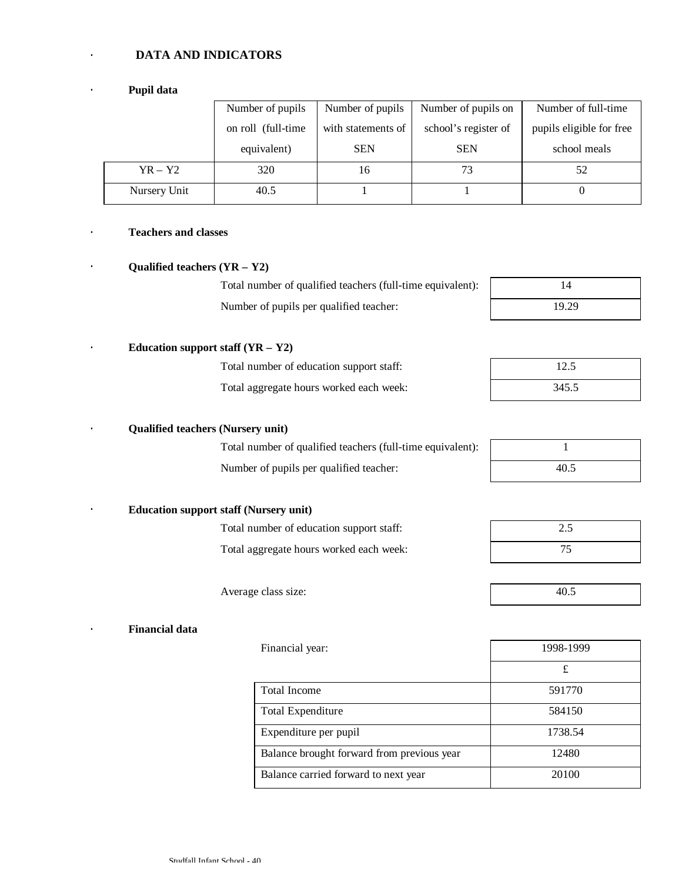## · **DATA AND INDICATORS**

## · **Pupil data**

|              | Number of pupils    | Number of pupils   | Number of pupils on  | Number of full-time      |
|--------------|---------------------|--------------------|----------------------|--------------------------|
|              | on roll (full-time) | with statements of | school's register of | pupils eligible for free |
|              | equivalent)         | <b>SEN</b>         | <b>SEN</b>           | school meals             |
| $YR - Y2$    | 320                 | 16                 | 73                   | 52                       |
| Nursery Unit | 40.5                |                    |                      |                          |

## · **Teachers and classes**

## · **Qualified teachers (YR – Y2)**

# Total number of qualified teachers (full-time equivalent): 14 Number of pupils per qualified teacher:

Total number of education support staff: Total aggregate hours worked each week:

| 14    |
|-------|
| 19.29 |

| 12.5  |  |
|-------|--|
| 345.5 |  |

## · **Qualified teachers (Nursery unit)**

· **Education support staff (YR – Y2)**

Total number of qualified teachers (full-time equivalent): 1 Number of pupils per qualified teacher: 40.5

| <b>Education support staff (Nursery unit)</b> |
|-----------------------------------------------|

| Total number of education support staff: | 2.5 |
|------------------------------------------|-----|
| Total aggregate hours worked each week:  |     |

Average class size: 40.5

#### · **Financial data**

| Financial year:                            | 1998-1999 |  |
|--------------------------------------------|-----------|--|
|                                            | £         |  |
| <b>Total Income</b>                        | 591770    |  |
| Total Expenditure                          | 584150    |  |
| Expenditure per pupil                      | 1738.54   |  |
| Balance brought forward from previous year | 12480     |  |
| Balance carried forward to next year       | 20100     |  |